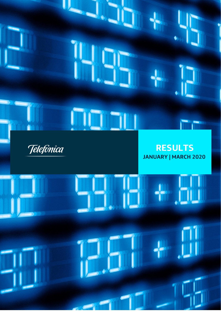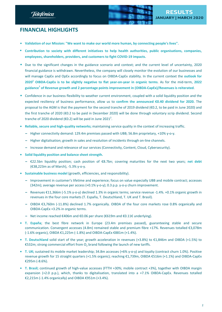Telefònica



# **FINANCIAL HIGHLIGHTS**

- *•* **Validation of our Mission: "We want to make our world more human, by connecting people's lives".**
- **• Contribution to society with different initiatives to help health authorities, public organisations, companies, employees, shareholders, providers, and customers to fight COVID-19 impacts.**
- Due to the significant changes in the guidance scenario and context; and the current level of uncertainty, 2020 financial guidance is withdrawn. Nevertheless, the company will closely monitor the evolution of our businesses and will manage CapEx and OpEx accordingly to focus on OIBDA-CapEx stability. In the current context the **outlook for 2020<sup>1</sup> OIBDA-CapEx is to be slightly negative to flat year-on-year in organic terms**. As for the mid-term, **2022 guidance<sup>1</sup> of Revenue growth and 2 percentage points improvement in (OIBDA-CapEx)/Revenues is reiterated**.
- Confidence in our business flexibility to weather current environment, coupled with a solid liquidity position and the expected resiliency of business performance, allow us to **confirm the announced €0.40 dividend for 2020.** The proposal to the AGM is that the payment for the second tranche of 2019 dividend (€0.2, to be paid in June 2020) and the first tranche of 2020 (€0.2 to be paid in December 2020) will be done through voluntary scrip dividend. Second tranche of 2020 dividend (€0.2) will be paid in June 2021<sup>2</sup>.
- **• Reliable, secure and high-quality networks;** maintaining service quality in the context of increasing traffic.
	- **–** Higher connectivity demand: 129.4m premises passed with UBB; 56.8m proprietary, +10% y-o-y.
	- **–** Higher digitalisation; growth in sales and resolution of incidents through on-line channels.
	- **–** Increase demand and relevance of our services (Connectivity, Content, Cloud, Cybersecurity).
- **• Solid liquidity position and balance sheet strength.**
	- **–** €22.5bn liquidity position; cash position of €8.7bn; covering maturities for the next two years; **net debt** (€38,223m as of March), -5.3% y-o-y.
- **• Sustainable business model** (growth, efficiencies, and responsibility).
	- **–** Improvement in customer's lifetime and experience; focus on value especially UBB and mobile contract; accesses (342m); average revenue per access (+0.1% y-o-y); 0.3 p.p. y-o-y churn improvement.
	- **–** Revenues €11,366m (-5.1% y-o-y) declined 1.3% in organic terms; service revenue -1.4%. +0.1% organic growth in revenues in the four core markets (T. España, T. Deutschland, T. UK and T. Brasil).
	- **–** OIBDA €3,760m (-11.8%) declined 1.7% organically. OIBDA of the four core markets rose 0.8% organically and OIBDA-CapEx +3.2% in organic terms.
	- **–** Net income reached €406m and €0.06 per share (€619m and €0.11€ underlying).
- **• T. España**; the best fibre network in Europe (23.4m premises passed), guaranteeing stable and secure communication. Convergent accesses (4.8m) remained stable and premium fibre +17%. Revenues totalled €3,078m (-1.6% organic), OIBDA €1,225m (-1.8%) and OIBDA-CapEx €881m (+1.4%).
- **• T. Deutschland** solid start of the year; growth acceleration in revenues (+3.8%) to €1,846m and OIBDA (+1.5%) to €532m; strong commercial effort from  $O<sub>2</sub>$  brand following the launch of new tariffs.
- **• T. UK;** sustained its mobile market leadership; 34.8m accesses (+6% y-o-y) and loyalty (contract churn 1.0%). Positive revenue growth for 15 straight quarters (+1.5% organic); reaching €1,739m, OIBDA €516m (+1.1%) and OIBDA-CapEx €295m (-8.6%).
- **• T. Brasil;** continued growth of high-value accesses (FTTH +30%; mobile contract +3%), together with OIBDA margin expansion (+2.0 p.p.), which, thanks to digitalisation, translated into a +7.1% OIBDA-CapEx. Revenues totalled €2,215m (-1.4% organically) and OIBDA €951m (+3.4%).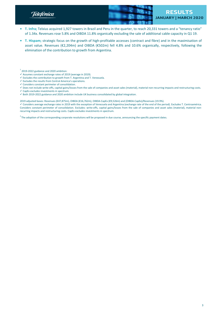Telefònica



- **• T. Infra;** Telxius acquired 1,927 towers in Brazil and Peru in the quarter, to reach 20,331 towers and a "tenancy ratio" of 1.34x. Revenues rose 5.8% and OIBDA 11.8% organically excluding the sale of additional cable capacity in Q1 19.
- **• T. Hispam;** strategic focus on the growth of high-profitable accesses (contract and fibre) and in the maximisation of asset value. Revenues (€2,204m) and OIBDA (€502m) fell 4.8% and 10.6% organically, respectively, following the elimination of the contribution to growth from Argentina.

- $\checkmark$  Assumes constant exchange rates of 2019 (average in 2019).
- $\checkmark$  Excludes the contribution to growth from T. Argentina and T. Venezuela.
- $\checkmark$  Excludes the results from Central America's operations.
- $\checkmark$  Considers constant perimeter of consolidation.
- $\checkmark$  Does not include write-offs, capital gains/losses from the sale of companies and asset sales (material), material non-recurring impacts and restructuring costs.
- $\checkmark$  CapEx excludes investments in spectrum.
- $\checkmark$  Both 2019-2022 guidance and 2020 ambition include UK business consolidated by global integration.

2019 adjusted bases: Revenues (€47,875m), OIBDA (€16,762m), OIBDA-CapEx (€9,526m) and (OIBDA-CapEx)/Revenues (19.9%).

ü Considers average exchange rates in 2019 with the exception of Venezuela and Argentina (exchange rate of the end of the period). Excludes T. Centroamérica. Considers constant perimeter of consolidation. Excludes: write-offs, capital gains/losses from the sale of companies and asset sales (material), material nonrecurring impacts and restructuring costs. CapEx excludes investments in spectrum.

<sup>2</sup> The adoption of the corresponding corporate resolutions will be proposed in due course, announcing the specific payment dates.

 $1$  2019-2022 guidance and 2020 ambition: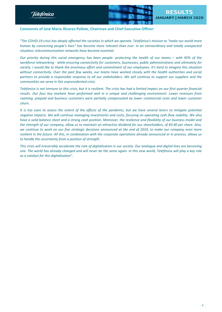





## **Comments of José María Álvarez-Pallete, Chairman and Chief Executive Officer:**

"The COVID-19 crisis has deeply affected the societies in which we operate. Telefónica's mission to "make our world more human by connecting people's lives" has become more relevant than ever. In an extraordinary and totally unexpected *situation, telecommunication networks have become essential.*

Our priority during this social emergency has been people: protecting the health of our teams - with 95% of the *workforce teleworking - while ensuring connectivity for customers, businesses, public administrations and ultimately for* society. I would like to thank the enormous effort and commitment of our employees. It's hard to imagine this situation without connectivity. Over the past few weeks, our teams have worked closely with the health authorities and social partners to provide a responsible response to all our stakeholders. We will continue to support our suppliers and the *communities we serve in this unprecedented crisis.*

Telefonica is not immune to this crisis, but it is resilient. The crisis has had a limited impact on our first quarter financial results. Our four key markets have performed well in a unique and challenging environment. Lower revenues from *roaming, prepaid and business customers were partially compensated by lower commercial costs and lower customer churn.*

It is too soon to assess the extent of the effects of the pandemic, but we have several levers to mitigate potential negative impacts. We will continue managing investments and costs, focusing on operating cash flow stability. We also have a solid balance sheet and a strong cash position. Moreover, the resilience and flexibility of our business model and the strength of our company, allow us to maintain an attractive dividend for our shareholders, of €0.40 per share. Also, we continue to work on our five strategic decisions announced at the end of 2019, to make our company even more resilient in the future. All this, in combination with the corporate operations already announced or in process, allows us *to handle the uncertainty from a position of strength.*

This crisis will irreversibly accelerate the rate of digitalisation in our society. Our analogue and digital lives are becoming one. The world has already changed and will never be the same again. In this new world, Telefónica will play a key role *as a catalyst for this digitalisation".*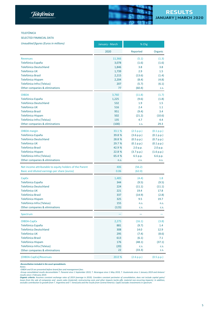#### TELEFÓNICA

SELECTED FINANCIAL DATA

| <b>Unaudited figures (Euros in millions)</b>            | January - March | % Chg      |            |
|---------------------------------------------------------|-----------------|------------|------------|
|                                                         | 2020            | Reported   | Organic    |
| <b>Revenues</b>                                         | 11,366          | (5.1)      | (1.3)      |
| Telefónica España                                       | 3,078           | (1.6)      | (1.6)      |
| Telefónica Deutschland                                  | 1,846           | 3.8        | 3.8        |
| Telefónica UK                                           | 1,739           | 2.9        | 1.5        |
| <b>Telefónica Brasil</b>                                | 2,215           | (13.6)     | (1.4)      |
| Telefónica Hispam                                       | 2,204           | (8.4)      | (4.8)      |
| Telefónica Infra (Telxius)                              | 207             | (5.7)      | (6.1)      |
| Other companies & eliminations                          | 77              | (60.4)     | C.S.       |
| <b>OIBDA</b>                                            | 3,760           | (11.8)     | (1.7)      |
| Telefónica España                                       | 1,225           | (9.6)      | (1.8)      |
| Telefónica Deutschland                                  | 532             | 1.9        | 1.5        |
| Telefónica UK                                           | 516             | 2.4        | 1.1        |
| <b>Telefónica Brasil</b>                                | 951             | (9.4)      | 3.4        |
| Telefónica Hispam                                       | 502             | (21.2)     | (10.6)     |
| Telefónica Infra (Telxius)                              | 135             | 4.7        | 4.4        |
| Other companies & eliminations                          | (100)           | C.S.       | 29.3       |
| <b>OIBDA</b> margin                                     | 33.1 %          | (2.5 p.p.) | (0.1 p.p.) |
| Telefónica España                                       | 39.8 %          | (3.6 p.p.) | (0.1 p.p.) |
| Telefónica Deutschland                                  | 28.8 %          | (0.5 p.p.) | (0.7 p.p.) |
| Telefónica UK                                           | 29.7 %          | (0.1 p.p.) | (0.1 p.p.) |
| <b>Telefónica Brasil</b>                                | 42.9 %          | 2.0 p.p.   | 2.0 p.p.   |
| Telefónica Hispam                                       | 22.8 %          | (3.7 p.p.) | (1.6 p.p.) |
| Telefónica Infra (Telxius)                              | 65.4 %          | 6.5 p.p.   | 6.6 p.p.   |
| Other companies & eliminations                          | n.s.            | C.S.       | n.s.       |
| Net income attributable to equity holders of the Parent | 406             | (56.2)     |            |
| Basic and diluted earnings per share (euros)            | 0.06            | (62.0)     |            |
| CapEx                                                   | 1,485           | (4.4)      | 1.8        |
| Telefónica España                                       | 344             | (9.5)      | (9.5)      |
| Telefónica Deutschland                                  | 224             | (11.1)     | (11.1)     |
| Telefónica UK                                           | 221             | 19.4       | 17.8       |
| <b>Telefónica Brasil</b>                                | 337             | (14.9)     | (2.8)      |
| Telefónica Hispam                                       | 325             | 9.5        | 19.7       |
| Telefónica Infra (Telxius)                              | 155             | n.s.       | n.s.       |
| Other companies & eliminations                          | (123)           | C.S.       | C.S.       |
| Spectrum                                                |                 |            |            |
| OIBDA-CapEx                                             | 2,275           | (16.1)     | (3.8)      |
| Telefónica España                                       | 881             | (9.7)      | 1.4        |
| Telefónica Deutschland                                  | 308             | 14.0       | 12.9       |
| Telefónica UK                                           | 295             | (7.4)      | (8.6)      |
| <b>Telefónica Brasil</b>                                | 613             | (6.1)      | 7.1        |
| Telefónica Hispam                                       | 176             | (48.1)     | (37.1)     |
| Telefónica Infra (Telxius)                              | (20)            | C.S.       | C.S.       |
| Other companies & eliminations                          | 22              | (33.3)     | C.S.       |
| (OIBDA-CapEx)/Revenues                                  | 20.0 %          | (2.6 p.p.) | (0.5 p.p.) |

*-Reconciliation included in the excel spreadsheets.*

Notes:<br>-OIBDA and OI are presented before brand fees and management fees.<br>-Group consolidated results deconsolidate T. Panamá since 1 September 2019, T. Nicaragua since 1 May 2019, T. Guatemala since 1 January 2019 and Ant

**Organic criteria:** Assumes constant exchange rates of 2019 (average in 2019). Considers constant perimeter of consolidation, does not include capital gains/<br>losses from the sale of companies and assets sales (material), r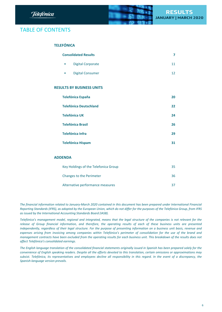

# TABLE OF CONTENTS

# **TELEFÓNICA**

| <b>Consolidated Results</b> |  |
|-----------------------------|--|
| Digital Corporate           |  |
| Digital Consumer            |  |

# **RESULTS BY BUSINESS UNITS**

| <b>Telefónica España</b>      | 20 |
|-------------------------------|----|
| <b>Telefónica Deutschland</b> | 22 |
| <b>Telefónica UK</b>          | 24 |
| <b>Telefónica Brasil</b>      | 26 |
| <b>Telefónica Infra</b>       | 29 |
| <b>Telefónica Hispam</b>      | 31 |

# **ADDENDA**

| Key Holdings of the Telefonica Group | 35 |
|--------------------------------------|----|
| <b>Changes to the Perimeter</b>      | 36 |
| Alternative performance measures     | 37 |

The financial information related to January-March 2020 contained in this document has been prepared under International Financial Reporting Standards (IFRS), as adopted by the European Union, which do not differ for the purposes of the Telefónica Group, from IFRS *as issued by the International Accounting Standards Board (IASB).*

Telefónica's management model, regional and integrated, means that the legal structure of the companies is not relevant for the release of Group financial information, and therefore, the operating results of each of these business units are presented independently, regardless of their legal structure. For the purpose of presenting information on a business unit basis, revenue and expenses arising from invoicing among companies within Telefónica's perimeter of consolidation for the use of the brand and management contracts have been excluded from the operating results for each business unit. This breakdown of the results does not *affect Telefónica's consolidated earnings.*

The English language translation of the consolidated financial statements originally issued in Spanish has been prepared solely for the convenience of English speaking readers. Despite all the efforts devoted to this translation, certain omissions or approximations may subsist. Telefónica, its representatives and employees decline all responsibility in this regard. In the event of a discrepancy, the *Spanish-language version prevails.*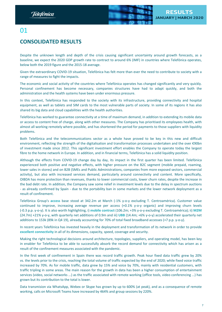

# <span id="page-6-0"></span>01

# **CONSOLIDATED RESULTS**

Despite the unknown length and depth of the crisis causing significant uncertainty around growth forecasts, as a baseline, we expect the 2020 GDP growth rate to contract to around 6% (IMF) in countries where Telefónica operates, below both the 2019 figure and the 2015-18 average.

Given the extraordinary COVID-19 situation, Telefónica has felt more than ever the need to contribute to society with a range of measures to fight the impacts.

The economic and social activity of the countries where Telefónica operates has changed significantly and very quickly. Personal confinement has become necessary, companies structures have had to adapt quickly, and both the administration and the health systems have been under enormous pressure.

In this context, Telefónica has responded to the society with its infrastructure, providing connectivity and hospital equipment, as well as tablets and SIM cards to the most vulnerable parts of society. In some of its regions it has also shared its big data and cloud capabilities with the health authorities.

Telefónica has worked to guarantee connectivity at a time of maximum demand, in addition to extending its mobile data or access to content free of charge, along with other measures. The Company has prioritised its employees health, with almost all working remotely where possible, and has shortened the period for payments to those suppliers with liquidity problems.

Both Telefónica and the telecommunications sector as a whole have proved to be key in this new and difficult environment, reflecting the strength of the digitalisation and transformation processes undertaken and the over €90bn of investment made since 2012. This significant investment effort enables the Company to operate today the largest fibre to the home network in Europe. In addition, and in financial terms, Telefónica has a solid liquidity position.

Although the effects from COVID-19 change day by day, its impact in the first quarter has been limited. Telefónica experienced both positive and negative effects, with higher pressure on the B2C segment (mobile prepaid, roaming, lower sales in stores) and on B2B (SMEs and Public Administrations, companies from more exposed sectors, commercial activity), but also with increased services demand, particularly around connectivity and content. More specifically, OIBDA has more protection than revenues, thanks to lower commercial costs, lower churn rates, despite the increase in the bad debt rate. In addition, the Company saw some relief in investment levels due to the delay in spectrum auctions - as already confirmed by Spain - due to the portability ban in some markets and the lower network deployment as a result of confinement.

Telefónica Group's **access** base stood at 342.2m at March (-1% y-o-y excluding T. Centroamérica). Customer value continued to improve, increasing average revenue per access (+0.1% y-o-y organic) and improving churn levels (-0.3 p.p. y-o-y). It is also worth highlighting, i) **mobile contract** (106.2m; +3% y-o-y excluding T. Centroamérica); ii) **M2M** (24.7m) +21% y-o-y, with quarterly net additions of 0.9m and iii) **UBB** (14.4m; +6% y-o-y) accelerated their quarterly net additions to 153k (89k in Q4 19), already accounting for 70% of total fixed broadband accesses (+7 p.p. y-o-y).

In recent years Telefónica has invested heavily in the deployment and transformation of its network in order to provide **excellent connectivity** in all of its dimensions, capacity, speed, coverage and security.

Making the right technological decisions around architecture, topologies, suppliers, and operating model, has been key in enabler for Telefónica to be able to successfully absorb the record demand for connectivity which has arisen as a result of the confinement measures associated with the pandemic.

In the first week of confinement in Spain there was record traffic growth. Peak hour fixed data traffic grew by 20% vs. the levels prior to the crisis, reaching the total volume of traffic expected by the end of 2020; while fixed voice traffic increased by 70%. As for mobile traffic, data grew by 15% and voice by 70%, mainly with residential customers, with traffic tripling in some areas. The main reason for the growth in data has been a higher consumption of entertainment services (video, social networks ...) as the traffic associated with remote working (office tools, video conferencing ...) has grown but its contribution to the total is lower.

Data transmision via WhatsApp, Webex or Skype has grown by up to 600% (at peak), and as a consequence of remote working, calls on Microsoft Teams have increased by 464% and group sessions by 220%.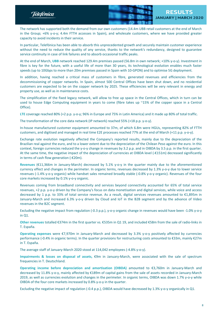



The network has supported both the demand from our own customers (14.4m UBB retail customers at the end of March in the Group; +6% y-o-y; 4.4m FTTH accesses in Spain), and wholesale customers, where we have provided greater capacity to avoid incidents in their service.

In particular, Telefónica has been able to absorb this unprecedented growth and securely maintain customer experience without the need to reduce the quality of any service, thanks to the network's redundancy, designed to guarantee service continuity in case of link failures and to absorb occasional traffic peaks.

At the end of March, **UBB** network reached 129.4m premises passed (56.8m in own network; +10% y-o-y). Investment in fibre is key for the future, with a useful life of more than 30 years, its technological evolution enables much faster speeds (up to 10Gbps to more than 20m premises passed in Spain with 10-GPON) and to optimise 5G deployment.

In addition, having reached a critical mass of customers in fibre, generated revenues and efficiencies from the decommissioning of copper networks. In Spain, almost 500 Central Offices have been shut down, and no residential customers are expected to be on the copper network by 2025. These efficiencies will be very relevant in energy and property use, as well as in maintenance costs.

The simplification of the fixed legacy network, will allow to free up space in the Central Offices, which in turn can be used to house Edge Computing equipment in years to come (fibre takes up ~15% of the copper space in a Central Office).

**LTE** coverage reached 80% (+2 p.p. y-o-y; 96% in Europe and 75% in Latin America) and it made up 80% of total traffic.

The transformation of the core data network (IP network) reached 55% (+18 p.p. y-o-y).

In-house manufactured customer equipment amounted to 37m, of which 6.8m were HGUs, representing 82% of FTTH customers, and digitised and managed in real time E2E processes reached 77% at the end of March (+11 p.p. y-o-y).

Exchange rate evolution negatively affected the Company's reported results, mainly due to the depreciation of the Brazilian real against the euro, and to a lower extent due to the depreciation of the Chilean Peso against the euro. In this context, foreign currencies reduced the y-o-y change in revenues by 3.2 p.p. and in OIBDA by 3.5 p.p. in the first quarter. At the same time, the negative impact of the depreciation of currencies at OIBDA level (-€151m) decreased significantly in terms of cash flow generation (-€20m).

**Revenues** (€11,366m in January-March) decreased by 5.1% y-o-y in the quarter mainly due to the aforementioned currency effect and changes in the perimeter. In organic terms, revenues decreased by 1.3% y-o-y due to lower service revenues (-1.4% y-o-y organic) while handset sales remained broadly stable (-0.8% y-o-y organic). Revenues of the four core markets increased by 0.1% y-o-y organic.

Revenues coming from broadband connectivity and services beyond connectivity accounted for 65% of total service revenues, +2 p.p. y-o-y driven by the Company's focus on data monetisation and digital services, while voice and access decreased by 1 p.p. to 33% of total service revenue. As a result, digital services revenues amounted to €1,895m in January-March and increased 6.3% y-o-y driven by Cloud and IoT in the B2B segment and by the advance of Video revenues in the B2C segment.

Excluding the negative impact from regulation (-0.3 p.p.), y-o-y organic change in revenues would have been -1.0% y-o-y in Q1.

**Other revenues** totalled €374m in the first quarter vs. €535m in Q1 19, and included €58m from the sale of radio-links in T. España.

**Operating expenses** were €7,970m in January-March and decreased by 3.3% y-o-y positively affected by currencies performance (-0.4% in organic terms). In the quarter provisions for restructuring costs amounted to €33m, mainly €27m in T. España.

The average staff of January-March 2020 stood at 114,042 employees (-4.8% y-o-y).

**Impairments & losses on disposal of assets,** €9m in January-March, were associated with the sale of spectrum frequencies in T. Deutschland.

**Operating income before depreciation and amortisation (OIBDA)** amounted to €3,760m in January-March and decreased by 11.8% y-o-y, mainly affected by €189m of capital gains from the sale of assets recorded in January-March 2019, as well as currencies evolution and changes in the perimeter. In organic terms, OIBDA was down 1.7% y-o-y while OIBDA of the four core markets increased by 0.8% y-o-y in the quarter.

Excluding the negative impact of regulation (-0.4 p.p.), OIBDA would have decreased by 1.3% y-o-y organically in Q1.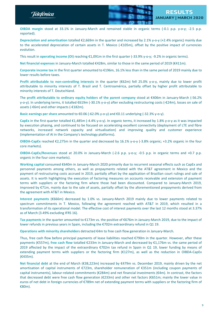



**OIBDA margin** stood at 33.1% in January-March and remained stable in organic terms (-0.1 p.p. y-o-y; -2.5 p.p. reported).

**Depreciation and amortisation** totalled €2,669m in the quarter and increased by 2.1% y-o-y (+2.4% organic) mainly due to the accelerated depreciation of certain assets in T. Mexico (-€105m), offset by the positive impact of currencies evolution.

This result in **operating income (OI)** reaching €1,091m in the first quarter (-33.9% y-o-y; -9.2% in organic terms).

**Net financial expenses** in January-March totalled €428m, similar to those in the same period of 2019 (€411m).

**Corporate income tax** in the first quarter amounted to €196m, 16.1% less than in the same period of 2019 mainly due to lower results before taxes.

**Profit attributable to non-controlling interests** in the quarter (€62m) fell 25.0% y-o-y, mainly due to lower profit attributable to minority interests of T. Brazil and T. Centroamérica, partially offset by higher profit attributable to minority interests of T. Deutschland.

The **profit attributable to ordinary equity holders of the parent company** stood at €406m in January-March (-56.2% y-o-y). In underlying terms, it totalled €619m (-30.1% y-o-y) after excluding restructuring costs (-€24m), losses on sale of assets (-€6m) and other impacts (-€182m).

**Basic earnings per share** amounted to €0.06 (-62.0% y-o-y) and €0.11 underlying (-32.3% y-o-y).

**CapEx** in the first quarter totalled €1,485m (-4.4% y-o-y). In organic terms, it increased by 1.8% y-o-y as it was impacted by execution phasing, and continued to be focused on accelerating excellent connectivity (deployment of LTE and fibre networks, increased network capacity and virtualisation) and improving quality and customer experience (implementation of AI in the Company's technology platforms).

**OIBDA-CapEx** reached €2,275m in the quarter and decreased by 16.1% y-o-y (-3.8% organic; +3.2% organic in the four core markets).

**OIBDA-CapEx/Revenues** stood at 20.0% in January-March (-2.6 p.p. y-o-y; -0.5 p.p. in organic terms and +0.7 p.p. organic in the four core markets).

**Working capital** consumed €640m in January-March 2020 primarily due to recurrent seasonal effects such as CapEx and personnel payments among others, as well as prepayments related with the AT&T agreement in Mexico and the payment of restructuring costs accrued in 2019, partially offset by the application of Brazilian court rulings and sale of assets. It is worth highlighting the execution of factoring measures on accounts receivable and extension of payment terms with suppliers or the factoring firm where those had been discounted. Compared to January-March 2019, improved by €71m, mainly due to the sale of assets, partially offset by the aforementioned prepayments derived from the agreement with AT&T in Mexico.

**Interest payments** (€666m) decreased by 1.0% vs. January-March 2019 mainly due to lower payments related to spectrum commitments in T. Mexico, following the agreement reached with AT&T in 2019, which resulted in a transformation of its operational model. The effective cost of interest payments over the last 12 months stood at 3.37% as of March (3.49% excluding IFRS 16).

**Tax payments** in the quarter amounted to €173m vs. the positive of €676m in January-March 2019, due to the impact of lower refunds in previous years in Spain, including the €702m extraordinary refund in Q1 19.

**Operations with minority shareholders** detracted €4m to free cash flow generation in January-March.

Thus, free cash flow before principal payments of lease liabilities reached €790m in the quarter. However, after these payments (€557m), **free cash flow** totalled €233m in January-March and decreased by €1,176m vs. the same period of 2019 affected by the impact of the extraordinary €702m tax refund in Spain in Q1 19, lower funding by means of extending payment terms with suppliers or the factoring firm (€127m), as well as the reduction in OIBDA-CapEx (€435m).

**Net financial debt** at the end of March (€38,223m) increased by €479m vs. December 2019, mainly driven by the net amortisation of capital instruments of €723m, shareholder remuneration of €351m (including coupon payments of capital instruments), labour-related commitments (€284m) and net financial investments (€4m). In contrast, the factors that decreased debt were free cash flow generation (€233m) and other net factors (€651m; mainly the lower value in euros of net debt in foreign currencies of €789m net of extending payment terms with suppliers or the factoring firm of €80m).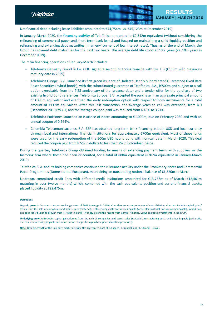Telefònica



Net financial debt including lease liabilities amounted to €44,754m (vs. €45,123m at December 2019).

In January-March 2020, the **financing activity** of Telefónica amounted to €2,342m equivalent (without considering the refinancing of commercial paper and short-term bank loans) and focused on maintaining a solid liquidity position and refinancing and extending debt maturities (in an environment of low interest rates). Thus, as of the end of March, the Group has covered debt maturities for the next two years. The average debt life stood at 10.7 years (vs. 10.5 years in December 2019).

The main financing operations of January-March included:

- Telefónica Germany GmbH & Co. OHG signed a second financing tranche with the EIB (€150m with maximum maturity date in 2029).
- Telefónica Europe, B.V., launched its first green issuance of Undated Deeply Subordinated Guaranteed Fixed Rate Reset Securities (hybrid bonds), with the subordinated guarantee of Telefónica, S.A., (€500m and subject to a call option exercisable from the 7.25 anniversary of the issuance date) and a tender offer for the purchase of two existing hybrid bond references. Telefónica Europe, B.V. accepted the purchase in an aggregate principal amount of €383m equivalent and exercised the early redemption option with respect to both instruments for a total amount of €112m equivalent. After this last transaction, the average years to call was extended, from 4.0 (December 2019) to 4.7, and the average coupon paid was reduced from 4.40% to 3.74%.
- Telefónica Emisiones launched an issuance of Notes amounting to €1,000m, due on February 2030 and with an annual coupon of 0.664%.
- Colombia Telecomunicaciones, S.A. ESP has obtained long-term bank financing in both USD and local currency through local and international financial institutions for approximately €700m equivalent. Most of these funds were used for the early redemption of the 500m USD hybrid bond with non-call date in March 2020. This deal reduced the coupon paid from 8.5% in dollars to less than 7% in Colombian pesos.

During the quarter, Telefónica Group obtained funding by means of extending payment terms with suppliers or the factoring firm where those had been discounted, for a total of €80m equivalent (€207m equivalent in January-March 2019).

Telefónica, S.A. and its holding companies continued their issuance activity under the Promissory Notes and Commercial Paper Programmes (Domestic and European), maintaining an outstanding notional balance of €1,520m at March.

Undrawn, committed credit lines with different credit institutions amounted for €13,736m as of March (€12,461m maturing in over twelve months) which, combined with the cash equivalents position and current financial assets, placed liquidity at €22,475m.

#### **Definitions:**

**Organic growth***:* Assumes constant exchange rates of 2019 (average in 2019). Considers constant perimeter of consolidation, does not include capital gains/ losses from the sale of companies and assets sales (material), restructuring costs and other impacts (write-offs, material non-recurring impacts). In addition, excludes contribution to growth from T. Argentina and T. Venezuela and the results from Central America. CapEx excludes investments in spectrum.

**Underlying growth**: Excludes capital gains/losses from the sale of companies and assets sales (material), restructuring costs and other impacts (write-offs, material non-recurring impacts and amortisation charges from purchase price allocation processes).

**Note:** Organic growth of the four core markets include the aggregated data of T. España, T. Deutschland, T. UK and T. Brasil.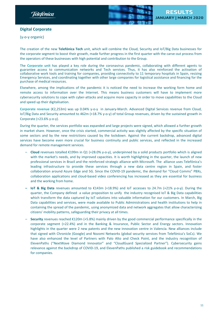<span id="page-10-0"></span>



# **Digital Corporate**

(y-o-y organic)

The creation of the new **Telefónica Tech** unit, which will combine the Cloud, Security and IoT/Big Data businesses for the corporate segment to boost their growth, made further progress in the first quarter with the carve-out process from the operators of these businesses with high potential and contribution to the Group.

The **Corporate unit** has played a key role during the coronavirus pandemic, collaborating with different agents to guarantee access to communication networks and Tech services. Thus, it has also reinforced the activation of collaborative work tools and training for companies, providing connectivity to 11 temporary hospitals in Spain, resizing Emergency Services, and coordinating together with other large companies for logistical assistance and financing for the purchase of medical resources.

Elsewhere, among the implications of the pandemic it is noticed the need to increase the working form home and remote access to information over the Internet. This means business customers will have to implement more cybersecurity solutions to cope with cyber-attacks and acquire more capacity in order to move capabilities to the Cloud and speed up their digitalisation.

**Corporate revenue** (€2,253m) was up 0.04% y-o-y in January-March. Advanced Digital Services revenue from Cloud, IoT/Big Data and Security amounted to 462m (+18.7% y-o-y) of total Group revenues, driven by the sustained growth in Corporate (+23.6% y-o-y).

During the quarter, the services portfolio was expanded and large projects were signed, which allowed a further growth in market share. However, once the crisis started, commercial activity was slightly affected by the specific situation of some sectors and by the new restrictions caused by the lockdown. Against the current backdrop, advanced digital services have become even more crucial for business continuity and public services, and reflected in the increased demand for remote management services.

- **Cloud** revenues totalled €199m in Q1 (+28.0% y-o-y), underpinned by a solid products portfolio which is aligned with the market's needs, and by improved capacities. It is worth highlighting in the quarter, the launch of new professional services in Brazil and the reinforced strategic alliance with Microsoft. The alliance uses Telefónica's leading infrastructure to provide these services through a new data centre region in Spain, and foster collaboration around Azure Edge and 5G. Since the COVID-19 pandemic, the demand for "Cloud Comms" PBXs, collaboration applications and cloud-based video conferencing has increased as they are essential for business and the working from home.
- **– IoT & Big Data** revenues amounted to €143m (+18.9%) and IoT accesses to 24.7m (+21% y-o-y). During the quarter, the Company defined a value proposition to unify the industry recognised IoT & Big Data capabilities which transform the data captured by IoT solutions into valuable information for our customers. In March, Big Data capabilities and services, were made available to Public Administrations and health institutions to help in containing the spread of the pandemic, using anonymized data and network aggregates that allow characterizing citizens' mobility patterns, safeguarding their privacy at all times.
- **Security** revenues reached €120m (+5.8%) mainly driven by the good commercial performance specifically in the corporate segment (+22.4%) and in the Banking & Insurance, Public Sector and Energy sectors. Innovation highlights in the quarter were 2 new patents and the new innovation centre in Valencia. New alliances include that signed with Chronicle (Google) and Nozomi Networks (global security services from Telefónica's SoCs). We have also enhanced the level of Partners with Palo Alto and Check Point, and the industry recognition of ElevenPaths ("NextWave Diamond Innovator" and "CloudGuard Specialized Partner"). Cybersecurity gains relevance against the backdrop of COVID-19, and ElevenPaths published a risk guidebook and recommendations for companies.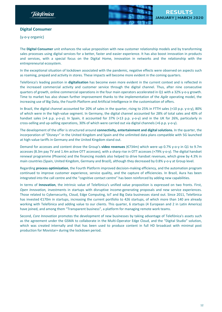

# <span id="page-11-0"></span>**Digital Consumer**

(y-o-y organic)

The **Digital Consumer** unit enhances the value proposition with new customer relationship models and by transforming sales processes using digital services for a better, faster and easier experience. It has also boost innovation in products and services, with a special focus on the Digital Home, innovation in networks and the relationship with the entrepreneurial ecosystem.

In the exceptional situation of lockdown associated with the pandemic, negative effects were observed on aspects such as roaming, prepaid and activity in stores. These impacts will become more evident in the coming quarters.

Telefónica's leading position in **digitalisation** has become even more evident in the current context and is reflected in the increased commercial activity and customer service through the digital channel. Thus, after nine consecutive quarters of growth, online commercial operations in the four main operators accelerated in Q1 with a 32% y-o-y growth. Time to market has also shown further improvement thanks to the implementation of the *Agile* operating model, the increasing use of Big Data, the Fourth Platform and Artificial Intelligence in the customisation of offers.

In Brazil, the digital channel accounted for 20% of sales in the quarter, rising to 25% in FTTH sales (+10 p.p. y-o-y), 80% of which were in the high-value segment. In Germany, the digital channel accounted for 28% of total sales and 40% of handset sales (+4 p.p. y-o-y). In Spain, it accounted for 37% (+13 p.p. y-o-y) and in the UK for 26%, particularly in cross-selling and up-selling operations, 30% of which were carried out via digital channels (+6 p.p. y-o-y).

The development of the offer is structured around **connectivity, entertainment and digital solutions.** In the quarter, the incorporation of "Disney+" in the United Kingdom and Spain and the unlimited data plans compatible with 5G launched at high-value tariffs in Germany and the United Kingdom stand out.

Demand for accesses and content drove the Group's **video revenues** (€734m) which were up 0.7% y-o-y in Q1 to 9.7m accesses (8.3m pay TV and 1.4m active OTT accesses), with a sharp rise in OTT accesses (+79% y-o-y). The digital handset renewal programme (Phoenix) and the financing models also helped to drive handset revenues, which grew by 4.3% in main countries (Spain, United Kingdom, Germany and Brazil), although they decreased by 0.8% y-o-y at Group level.

Regarding **process optimization**, the Fourth Platform improved decision-making efficiency, and the automation program continued to improve customer experience, service quality, and the capture of efficiencies. In Brazil, Aura has been integrated into the call centre and the "cognitive contact centre" has been reinforced by adding new capabilities.

In terms of **Innovation**, the intrinsic value of Telefónica's unified value proposition is expressed on two fronts. First, *Open Innovation,* investments in startups with disruptive income-generating proposals and new service experiences. Those related to Cybersecurity, Cloud, Edge Computing, IoT and Big Data businesses stand out. Since 2011, Telefónica has invested €170m in startups, increasing the current portfolio to 426 startups, of which more than 140 are already working with Telefónica and adding value to our clients. This quarter, 6 startups (4 European and 2 in Latin America) have joined, and among them "Transparent business", a platform for managing remote work teams.

Second, *Core Innovation* promotes the development of new businesses by taking advantage of Telefónica's assets such as the agreement under the GSMA to collaborate in the Multi-Operator Edge Cloud, and the "Digital Studio" solution, which was created internally and that has been used to produce content in full HD broadcast with minimal post production for Movistar+ during the lockdown period.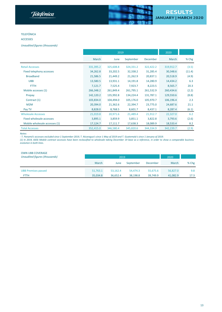



#### TELEFÓNICA

#### ACCESSES

*Unaudited figures (thousands)*

|                               |           | 2019      | 2020      |                 |           |        |
|-------------------------------|-----------|-----------|-----------|-----------------|-----------|--------|
|                               | March     | June      | September | <b>December</b> | March     | % Chg  |
| <b>Retail Accesses</b>        | 331,395.2 | 325,608.8 | 324,331.2 | 322,422.2       | 319,912.7 | (3.5)  |
| Fixed telephony accesses      | 34,262.8  | 33,202.5  | 32,338.2  | 31,285.4        | 30,348.6  | (11.4) |
| <b>Broadband</b>              | 21,586.5  | 21,449.2  | 21,262.9  | 20,837.1        | 20,518.9  | (4.9)  |
| <b>UBB</b>                    | 13,580.5  | 13,931.1  | 14,191.8  | 14,280.9        | 14,434.2  | 6.3    |
| <b>FTTH</b>                   | 7,121.7   | 7,525.4   | 7,923.7   | 8,223.5         | 8,565.7   | 20.3   |
| Mobile accesses (1)           | 266,348.2 | 261,849.4 | 261,795.1 | 261,532.9       | 260,434.6 | (2.2)  |
| Prepay                        | 142,120.2 | 135,992.8 | 134,224.4 | 131,787.1       | 129,550.6 | (8.8)  |
| Contract (1)                  | 103,834.0 | 104,494.0 | 105,176.0 | 105,970.7       | 106,196.4 | 2.3    |
| M2M                           | 20,394.0  | 21,362.6  | 22,394.7  | 23,775.0        | 24,687.6  | 21.1   |
| Pay TV                        | 8,828.0   | 8,768.5   | 8,601.7   | 8,437.1         | 8,287.4   | (6.1)  |
| <b>Wholesale Accesses</b>     | 21,019.8  | 20,971.6  | 21,489.4  | 21,912.7        | 22,327.0  | 6.2    |
| Fixed wholesale accesses      | 3,895.1   | 3,859.9   | 3,851.1   | 3,822.8         | 3,793.6   | (2.6)  |
| Mobile wholesale accesses (1) | 17,124.7  | 17,111.7  | 17,638.3  | 18,089.9        | 18,533.4  | 8.2    |
| <b>Total Accesses</b>         | 352,415.0 | 346,580.4 | 345,820.6 | 344,334.9       | 342,239.7 | (2.9)  |

*Notes:*

- T. Panamá's accesses excluded since 1 September 2019, T. Nicaragua's since 1 May of 2019 and T. Guatemala's since 1 January of 2019.

(1) In 2019, 665k Mobile contract accesses have been reclassified to wholesale taking December 19 base as a reference, in order to show a comparable business *evolution in both lines.*

#### OWN UBB COVERAGE

| Unaudited figures (thousands) | 2019     |             |           |          | 2020     |         |
|-------------------------------|----------|-------------|-----------|----------|----------|---------|
|                               | March    | <b>June</b> | September | December | March    | $%$ Chg |
| <b>UBB Premises passed</b>    | 51,763.1 | 53.162.4    | 54.474.3  | 55.675.6 | 56,827.0 | 9.8     |
| <b>FTTH</b>                   | 35.034.8 | 36.652.4    | 38.198.8  | 39.749.9 | 41,082.9 | 17.3    |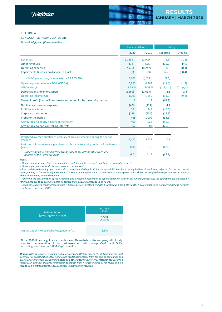

#### TELEFÓNICA

### CONSOLIDATED INCOME STATEMENT

*Unaudited figures (Euros in millions)*

|                                                                                        | January - March |          | % Chg      |            |
|----------------------------------------------------------------------------------------|-----------------|----------|------------|------------|
|                                                                                        | 2020            | 2019     | Reported   | Organic    |
| <b>Revenues</b>                                                                        | 11,366          | 11,979   | (5.1)      | (1.3)      |
| Other revenues                                                                         | 374             | 535      | (30.0)     | 14.5       |
| <b>Operating expenses</b>                                                              | (7,970)         | (8, 247) | (3.3)      | (0.4)      |
| Impairments & losses on disposal of assets                                             | (9)             | (3)      | 176.9      | (90.4)     |
| Underlying operating income before D&A (OIBDA)                                         | 3,802           | 4,109    | (7.5)      |            |
| Operating income before D&A (OIBDA)                                                    | 3,760           | 4,264    | (11.8)     | (1.7)      |
| <b>OIBDA Margin</b>                                                                    | 33.1 %          | 35.6 %   | (2.5 p.p.) | (0.1 p.p.) |
| Depreciation and amortization                                                          | (2,669)         | (2,614)  | 2.1        | 2.4        |
| Operating income (OI)                                                                  | 1,091           | 1,650    | (33.9)     | (9.2)      |
| Share of profit (loss) of investments accounted for by the equity method               | 1               | 4        | (63.2)     |            |
| Net financial income (expense)                                                         | (428)           | (411)    | 4.1        |            |
| Profit before taxes                                                                    | 664             | 1,243    | (46.5)     |            |
| Corporate income tax                                                                   | (196)           | (234)    | (16.1)     |            |
| Profit for the period                                                                  | 468             | 1,009    | (53.6)     |            |
| Attributable to equity holders of the Parent                                           | 406             | 926      | (56.2)     |            |
| Attributable to non-controlling interests                                              | 62              | 83       | (25.0)     |            |
|                                                                                        |                 |          |            |            |
| Weighted average number of ordinary shares outstanding during the period<br>(millions) | 5,132           | 5,127    | 0.1        |            |

| (millions)                                                                                              | 5.132 | 5.127 |        |
|---------------------------------------------------------------------------------------------------------|-------|-------|--------|
| Basic and diluted earnings per share attributable to equity holders of the Parent<br>(euros)            | 0.06  | 0.16  | (62.0) |
| Underlying basic and diluted earnings per share attributable to equity<br>holders of the Parent (euros) | 0.11  | 0.16  | (32.3) |

*Notes:*

*- Other revenue includes "internal expenditure capitalized in fixed assets" and "gain on disposal of assets".*

*- Operating expenses include "other non recurrent expenses".*

- Basic and diluted earnings per share ratio is calculated dividing Profit for the period Attributable to equity holders of the Parent, adjusted for the net coupon corresponding to "Other equity instruments" (€88m in January-March 2020 and €89m in January-March 2019), by the weighted average number of ordinary *shares outstanding during the period.*

- Following the consideration of the Argentine and Venezuela economies as hyperinflationary from an accounting perspective, the operations are adjusted by *inflation and are to be accounted at their corresponding closing exchange vs. the Euro.*

- Group consolidated results deconsolidate T. Panamá since 1 September 2019, T. Nicaragua since 1 May 2019, T. Guatemala since 1 January 2019 and Antares' *results since 1 February 2019.*

| 2020 Ambition<br>(y-o-y organic change)        | Jan - Mar<br>2020<br>% Chg.<br>Organic |
|------------------------------------------------|----------------------------------------|
| OIBDA-CapEx is to be slightly negative to flat | (3.8)%                                 |

Note: 2020 financial guidance is withdrawn. Nevertheless, the company will closely monitor the evolution of our businesses and will manage CapEx and OpEx accordingly to focus on OIBDA-CapEx stability.

*Organic criteria: Assumes constant exchange rates of 2019 (average in 2019). Considers constant perimeter of consolidation, does not include capital gains/losses from the sale of companies and assets sales (material), restructuring costs and other impacts (write-offs, material non-recurring impacts). In addition, excludes contribution to growth from T. Argentina and T. Venezuela and the results from Central America. CapEx excludes investments in spectrum.*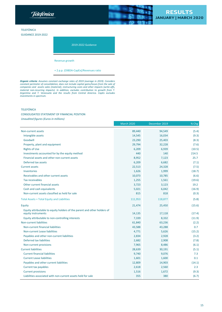**RESULTS** Telefonica JANUARY | MARCH 2020 TELEFÓNICA **GUIDANCE 2019-2022** 



Revenue growth

+ 2 p.p. (OIBDA-CapEx)/Revenues ratio

*Organic criteria: Assumes constant exchange rates of 2019 (average in 2019). Considers constant perimeter of consolidation, does not include capital gains/losses from the sale of companies and assets sales (material), restructuring costs and other impacts (write-offs, material non-recurring impacts). In addition, excludes contribution to growth from T. Argentina and T. Venezuela and the results from Central America. CapEx excludes investments in spectrum.*

## TELEFÓNICA

#### CONSOLIDATED STATEMENT OF FINANCIAL POSITION

*Unaudited figures (Euros in millions)*

|                                                                                                | <b>March 2020</b> | December 2019 | % Chg  |
|------------------------------------------------------------------------------------------------|-------------------|---------------|--------|
| Non-current assets                                                                             | 89,440            | 94,549        | (5.4)  |
| Intangible assets                                                                              | 14,545            | 16,034        | (9.3)  |
| Goodwill                                                                                       | 23,290            | 25,403        | (8.3)  |
| Property, plant and equipment                                                                  | 29,794            | 32,228        | (7.6)  |
| <b>Rights of Use</b>                                                                           | 6,209             | 6,939         | (10.5) |
| Investments accounted for by the equity method                                                 | 440               | 140           | 214.5  |
| Financial assets and other non-current assets                                                  | 8,952             | 7,123         | 25.7   |
| Deferred tax assets                                                                            | 6,209             | 6,682         | (7.1)  |
| <b>Current assets</b>                                                                          | 22,513            | 24,328        | (7.5)  |
| Inventories                                                                                    | 1,626             | 1,999         | (18.7) |
| Receivables and other current assets                                                           | 10,073            | 10,785        | (6.6)  |
| <b>Tax receivables</b>                                                                         | 1,255             | 1,561         | (19.6) |
| Other current financial assets                                                                 | 3,723             | 3,123         | 19.2   |
| Cash and cash equivalents                                                                      | 5,021             | 6,042         | (16.9) |
| Non-current assets classified as held for sale                                                 | 815               | 818           | (0.3)  |
| <b>Total Assets = Total Equity and Liabilities</b>                                             | 111,953           | 118,877       | (5.8)  |
| Equity                                                                                         | 21,474            | 25,450        | (15.6) |
| Equity attributable to equity holders of the parent and other holders of<br>equity instruments | 14,135            | 17,118        | (17.4) |
| Equity attributable to non-controlling interests                                               | 7,339             | 8,332         | (11.9) |
| Non-current liabilities                                                                        | 61,840            | 63,236        | (2.2)  |
| Non-current financial liabilities                                                              | 43,588            | 43,288        | 0.7    |
| Non-current Lease liabilities                                                                  | 4,771             | 5,626         | (15.2) |
| Payables and other non-current liabilities                                                     | 2,834             | 2,928         | (3.2)  |
| Deferred tax liabilities                                                                       | 2,682             | 2,908         | (7.8)  |
| Non-current provisions                                                                         | 7,965             | 8,486         | (6.1)  |
| <b>Current liabilities</b>                                                                     | 28,639            | 30,191        | (5.1)  |
| <b>Current financial liabilities</b>                                                           | 9,740             | 9,076         | 7.3    |
| <b>Current Lease liabilities</b>                                                               | 1,601             | 1,600         | 0.1    |
| Payables and other current liabilities                                                         | 12,809            | 14,903        | (14.1) |
| Current tax payables                                                                           | 2,618             | 2,560         | 2.3    |
| <b>Current provisions</b>                                                                      | 1,516             | 1,672         | (9.3)  |
| Liabilities associated with non-current assets held for sale                                   | 355               | 380           | (6.7)  |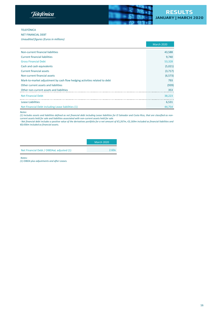**Telefonica** 



## TELEFÓNICA

NET FINANCIAL DEBT

*Unaudited figures (Euros in millions)*

|                                                                           | <b>March 2020</b> |
|---------------------------------------------------------------------------|-------------------|
| Non-current financial liabilities                                         | 43,588            |
| <b>Current financial liabilities</b>                                      | 9,740             |
| <b>Gross Financial Debt</b>                                               | 53,328            |
| Cash and cash equivalents                                                 | (5,021)           |
| <b>Current financial assets</b>                                           | (3,717)           |
| Non-current financial assets                                              | (6, 573)          |
| Mark-to-market adjustment by cash flow hedging activities related to debt | 793               |
| Other current assets and liabilities                                      | (939)             |
| Other non-current assets and liabilities                                  | 353               |
| <b>Net Financial Debt</b>                                                 | 38,223            |
| <b>Lease Liabilities</b>                                                  | 6,531             |
| Net Financial Debt including Lease liabilities (1)                        | 44,754            |

#### *Notes:*

(1) Includes assets and liabilities defined as net financial debt including Lease liabilities for El Salvador and Costa Rica, that are classified as non*current assets held for sale and liabilities associated with non-current assets held for sale.*

- Net financial debt includes a positive value of the derivatives portfolio for a net amount of €5,267m, €3,169m included as financial liabilities and *€8,436m included as financial assets.*

March 2020

Net Financial Debt / OIBDAaL adjusted (1) 2.60x

*Notes:*

*(1) OIBDA plus adjustments and after Leases.*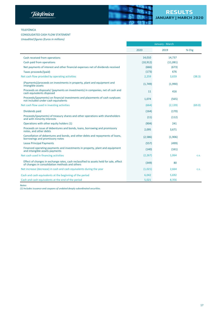



## TELEFÓNICA

#### CONSOLIDATED CASH FLOW STATEMENT

*Unaudited figures (Euros in millions)*

|                                                                                                                                          |           | January - March |        |
|------------------------------------------------------------------------------------------------------------------------------------------|-----------|-----------------|--------|
|                                                                                                                                          | 2020      | 2019            | % Chg  |
| Cash received from operations                                                                                                            | 14,010    | 14,737          |        |
| Cash paid from operations                                                                                                                | (10, 912) | (11,081)        |        |
| Net payments of interest and other financial expenses net of dividends received                                                          | (666)     | (673)           |        |
| Taxes proceeds/(paid)                                                                                                                    | (173)     | 676             |        |
| Net cash flow provided by operating activities                                                                                           | 2,259     | 3,659           | (38.3) |
| (Payments)/proceeds on investments in property, plant and equipment and<br>intangible assets                                             | (1,749)   | (1,990)         |        |
| Proceeds on disposals/ (payments on investments) in companies, net of cash and<br>cash equivalents disposed                              | 11        | 416             |        |
| Proceeds/(payments) on financial investments and placements of cash surpluses<br>not included under cash equivalents                     | 1,074     | (565)           |        |
| Net cash flow used in investing activities                                                                                               | (664)     | (2, 139)        | (69.0) |
| Dividends paid                                                                                                                           | (164)     | (170)           |        |
| Proceeds/(payments) of treasury shares and other operations with shareholders<br>and with minority interests                             | (11)      | (112)           |        |
| Operations with other equity holders (1)                                                                                                 | (904)     | 241             |        |
| Proceeds on issue of debentures and bonds, loans, borrowing and promissory<br>notes, and other debts                                     | 2,095     | 3,671           |        |
| Cancellation of debentures and bonds, and other debts and repayments of loans,<br>borrowings and promissory notes                        | (2,586)   | (1,906)         |        |
| <b>Lease Principal Payments</b>                                                                                                          | (557)     | (499)           |        |
| Financed operating payments and investments in property, plant and equipment<br>and intangible assets payments                           | (140)     | (161)           |        |
| Net cash used in financing activities                                                                                                    | (2, 267)  | 1,064           | C.S.   |
| Effect of changes in exchange rates, cash reclassified to assets held for sale, effect<br>of changes in consolidation methods and others | (349)     | 80              |        |
| Net increase (decrease) in cash and cash equivalents during the year                                                                     | (1,021)   | 2,664           | C.S.   |
| Cash and cash equivalents at the beginning of the period                                                                                 | 6,042     | 5,692           |        |
| Cash and cash equivalents at the end of the period                                                                                       | 5,021     | 8,356           |        |

*Notes:*

*(1) Includes issuance and coupons of undated deeply subordinated securities.*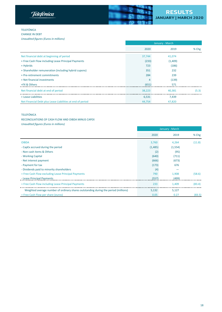**Telefonica** 



## TELEFÓNICA CHANGE IN DEBT

*Unaudited figures (Euros in millions)*

|                                                            | January - March |         |       |
|------------------------------------------------------------|-----------------|---------|-------|
|                                                            | 2020            | 2019    | % Chg |
| Net financial debt at beginning of period                  | 37,744          | 41,074  |       |
| + Free Cash Flow including Lease Principal Payments        | (233)           | (1,409) |       |
| + Hybrids                                                  | 723             | (186)   |       |
| + Shareholder remuneration (including hybrid cupons)       | 351             | 232     |       |
| + Pre-retirement commitments                               | 284             | 239     |       |
| + Net financial investments                                |                 | (139)   |       |
| +FX & Others                                               | (651)           | 571     |       |
| Net financial debt at end of period                        | 38,223          | 40,381  | (5.3) |
| + Lease Liabilities                                        | 6,531           | 7,439   |       |
| Net Financial Debt plus Lease Liabilities at end of period | 44,754          | 47,820  |       |

## TELEFÓNICA

## RECONCILIATIONS OF CASH FLOW AND OIBDA MINUS CAPEX

*Unaudited figures (Euros in millions)*

|                                                                                     | January - March |          |        |
|-------------------------------------------------------------------------------------|-----------------|----------|--------|
|                                                                                     | 2020            | 2019     | % Chg  |
| <b>OIBDA</b>                                                                        | 3,760           | 4,264    | (11.8) |
| - CapEx accrued during the period                                                   | (1,485)         | (1, 554) |        |
| - Non-cash items & Others                                                           | (2)             | (95)     |        |
| - Working Capital                                                                   | (640)           | (711)    |        |
| - Net interest payment                                                              | (666)           | (673)    |        |
| - Payment for tax                                                                   | (173)           | 676      |        |
| - Dividends paid to minority shareholders                                           | (4)             |          |        |
| = Free Cash Flow excluding Lease Principal Payments                                 | 790             | 1,908    | (58.6) |
| - Lease Principal Payments                                                          | (557)           | (499)    |        |
| = Free Cash Flow including Lease Principal Payments                                 | 233             | 1,409    | (83.4) |
| Weighted average number of ordinary shares outstanding during the period (millions) | 5,132           | 5,127    |        |
| = Free Cash Flow per share (euros)                                                  | 0.05            | 0.27     | (83.5) |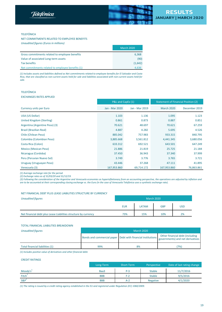



#### TELEFÓNICA

# NET COMMITMENTS RELATED TO EMPLOYEE BENEFITS

| Unaudited figures (Euros in millions)            |                   |
|--------------------------------------------------|-------------------|
|                                                  | <b>March 2020</b> |
| Gross commitments related to employee benefits   | 6,368             |
| Value of associated Long-term assets             | (90)              |
| Tax benefits                                     | (1,642)           |
| Net commitments related to employee benefits (1) | 4.636             |

(1) Includes assets and liabilities defined as Net commitments related to employee benefits for El Salvador and Costa Rica, that are classified as non-current assets held for sale and liabilities associated with non-current assets held for *sale.*

#### TELEFÓNICA

## EXCHANGES RATES APPLIED

|                                | P&L and CapEx (1) |                |                   | <b>Statement of Financial Position (2)</b> |
|--------------------------------|-------------------|----------------|-------------------|--------------------------------------------|
| <b>Currency units per Euro</b> | Jan - Mar 2020    | Jan - Mar 2019 | <b>March 2020</b> | December 2019                              |
| USA (US Dollar)                | 1.103             | 1.136          | 1.095             | 1.123                                      |
| United Kingdom (Sterling)      | 0.861             | 0.873          | 0.887             | 0.851                                      |
| Argentina (Argentine Peso) (3) | 70.621            | 48.697         | 70.621            | 67.259                                     |
| <b>Brazil (Brazilian Real)</b> | 4.887             | 4.282          | 5.695             | 4.526                                      |
| Chile (Chilean Peso)           | 885.042           | 757.983        | 933.315           | 840.795                                    |
| Colombia (Colombian Peso)      | 3,885.668         | 3,561.812      | 4,441.345         | 3,680.056                                  |
| Costa Rica (Colon)             | 633.312           | 692.521        | 643.501           | 647.249                                    |
| <b>Mexico (Mexican Peso)</b>   | 21.886            | 21.819         | 25.725            | 21.184                                     |
| Nicaragua (Cordoba)            | 37.450            | 36.943         | 37.340            | 37.999                                     |
| Peru (Peruvian Nuevo Sol)      | 3.749             | 3.776          | 3.765             | 3.721                                      |
| Uruguay (Uruguayan Peso)       | 43.446            | 37.268         | 47.111            | 41.895                                     |
| Venezuela (3)                  | 167,953.860       | 69,714.172     | 167,953.860       | 76,863.861                                 |

*(1) Average exchange rate for the period.*

*(2) Exchange rates as of 31/03/20 and 31/12/19.*

(3) Following the consideration of the Argentine and Venezuela economies as hyperinflationary from an accounting perspective, the operations are adjusted by inflation and are to be accounted at their corresponding closing exchange vs. the Euro (in the case of Venezuela Telefónica uses a synthetic exchange rate).

#### NET FINANCIAL DEBT PLUS LEASE LIABILITIES STRUCTURE BY CURRENCY

| <b>Unaudited figures</b>                                        | <b>March 2020</b> |       |            |            |
|-----------------------------------------------------------------|-------------------|-------|------------|------------|
|                                                                 | <b>EUR</b>        | LATAM | <b>GBP</b> | <b>USD</b> |
| Net financial debt plus Lease Liabilities structure by currency | 73%               | 15%   | 10%        | 2%         |

#### TOTAL FINANCIAL LIABILITIES BREAKDOWN

| <b>Unaudited figures</b>        | <b>March 2020</b> |                                                               |                                                                     |  |  |  |
|---------------------------------|-------------------|---------------------------------------------------------------|---------------------------------------------------------------------|--|--|--|
|                                 |                   | Bonds and commercial paper   Debt with financial institutions | Other financial debt (including<br>governments) and net derivatives |  |  |  |
| Total financial liabilities (1) | 99%               | 8%                                                            | 7%)                                                                 |  |  |  |

(1) Includes positive value of derivatives and other financial debt.

#### **CREDIT RATINGS**

|                      | Long-Term  | Short-Term | Perspective     | Date of last rating change |
|----------------------|------------|------------|-----------------|----------------------------|
| Moody's <sup>+</sup> | Baa3       | $P-3$      | <b>Stable</b>   | 11/7/2016                  |
| Fitch <sup>1</sup>   | <b>BBB</b> | $F-2$      | <b>Stable</b>   | 9/5/2016                   |
| $S\&P1$              | <b>BBB</b> | $A-2$      | <b>Negative</b> | 4/1/2020                   |

(1) The rating is issued by a credit rating agency established in the EU and registered under Regulation (EC) 1060/2009.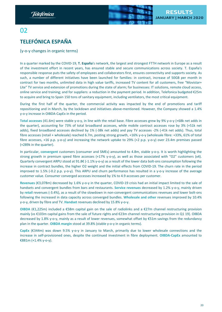

# <span id="page-19-0"></span>02

# **TELEFÓNICA ESPAÑA**

(y-o-y changes in organic terms)

In a quarter marked by the COVID-19, **T. España**'s network, the largest and strongest FTTH network in Europe as a result of the investment effort in recent years, has ensured stable and secure communications across society. T. España's responsible response puts the safety of employees and collaborators first, ensures connectivity and supports society. As such, a number of different initiatives have been launched for families: in contract, increase of 50GB per month in contract for two months, unlimited data in high value tariffs, increased TV content for all customers, free "Movistar+ Lite" TV service and extension of promotions during the state of alarm; for businesses: IT solutions, remote cloud access, online service and training; and for suppliers: a reduction in the payment period. In addition, Telefonica budgeted €25m to acquire and bring to Spain 150 tons of sanitary equipment, including ventilators, the most critical equipment.

During the first half of the quarter, the commercial activity was impacted by the end of promotions and tariff repositioning and in March, by the lockdown and initiatives above-mentioned. However, the Company showed a 1.4% y-o-y increase in OIBDA-CapEx in the period.

**Total accesses** (41.6m) were stable y-o-y, in line with the retail base. Fibre accesses grew by 9% y-o-y (+68k net adds in the quarter), accounting for 73% of total broadband accesses, while mobile contract accesses rose by 3% (+51k net adds), fixed broadband accesses declined by 1% (-38k net adds) and pay TV accesses -2% (-41k net adds). Thus, total fibre accesses (retail + wholesale) reached 6.7m, posting strong growth, +16% y-o-y (wholesale fibre: +33%, 61% of total fibre accesses, +16 p.p. y-o-y) and increasing the network uptake to 29% (+2 p.p. y-o-y) over 23.4m premises passed (+289k in the quarter).

In particular, **convergent** customers (consumer and SMEs) amounted to 4.8m, stable y-o-y. It is worth highlighting the strong growth in premium speed fibre accesses (+17% y-o-y), as well as those associated with "O2" customers (x4). Quarterly convergent ARPU stood at 91.8€ (-1.1% y-o-y) as a result of the lower data bolt-ons consumption following the increase in contract bundles, the higher O2 weight and the initial effects from COVID-19. The churn rate in the period improved to 1.5% (-0.2 p.p. y-o-y). This ARPU and churn performance has resulted in a y-o-y increase of the average customer value. Consumer converged accesses increased by 1% to 4.9 accesses per customer.

**Revenues** (€3,078m) decreased by 1.6% y-o-y in the quarter, COVID-19 crisis had an initial impact limited to the sale of handsets and convergent bundles from bars and restaurants. **Service revenues** decreased by 1.2% y-o-y, mainly driven by **retail** revenues (-3.4%), as a result of the slowdown in non-convergent communications revenues and lower bolt-ons following the increased in data capacity across converged bundles. **Wholesale and other** revenues improved by 10.4% y-o-y, driven by fibre and TV. **Handset** revenues declined by 15.8% y-o-y.

**OIBDA** (€1,225m) included a €58m capital gain on the sale of radiolinks and a €27m channel restructuring provision mainly (vs €103m capital gains from the sale of future rights and €23m channel restructuring provision in Q1 19). OIBDA decreased by 1.8% y-o-y, mainly as a result of lower revenues, somewhat offset by €51m savings from the redundancy plan in the quarter. **OIBDA margin** stood at 39.8% (stable y-o-y in organic terms).

**CapEx** (€344m) was down 9.5% y-o-y in January to March, primarily due to lower wholesale connections and the increase in self-provisioned ones, despite the continued investment in fibre deployment. **OIBDA-CapEx** amounted to €881m (+1.4% y-o-y).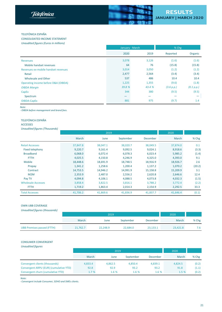

#### <span id="page-20-0"></span>TELEFÓNICA ESPAÑA

CONSOLIDATED INCOME STATEMENT *Unaudited figures (Euros in millions)*

|                                     | January - March |        | % Chg      |            |
|-------------------------------------|-----------------|--------|------------|------------|
|                                     | 2020            | 2019   | Reported   | Organic    |
| Revenues                            | 3,078           | 3,126  | (1.6)      | (1.6)      |
| Mobile handset revenues             | 64              | 76     | (15.8)     | (15.8)     |
| Revenues ex-mobile handset revenues | 3,014           | 3,050  | (1.2)      | (1.2)      |
| Retail                              | 2,477           | 2,564  | (3.4)      | (3.4)      |
| <b>Wholesale and Other</b>          | 537             | 486    | 10.4       | 10.4       |
| Operating income before D&A (OIBDA) | 1,225           | 1,355  | (9.6)      | (1.8)      |
| <b>OIBDA Margin</b>                 | 39.8%           | 43.4 % | (3.6 p.p.) | (0.1 p.p.) |
| CapEx                               | 344             | 380    | (9.5)      | (9.5)      |
| Spectrum                            |                 | -      |            |            |
| OIBDA-CapEx                         | 881             | 975    | (9.7)      | 1.4        |

*Note:*

*- OIBDA before management and brand fees.*

#### TELEFÓNICA ESPAÑA

#### ACCESSES

*Unaudited figures (Thousands)*

|                           |          | 2020     |           |          |          |        |
|---------------------------|----------|----------|-----------|----------|----------|--------|
|                           | March    | June     | September | December | March    | % Chg  |
| <b>Retail Accesses</b>    | 37,847.8 | 38,047.1 | 38,020.7  | 38,049.5 | 37,874.0 | 0.1    |
| <b>Fixed telephony</b>    | 9,220.7  | 9,161.4  | 9,092.5   | 9,024.1  | 8,918.6  | (3.3)  |
| <b>Broadband</b>          | 6,068.0  | 6,072.4  | 6,078.3   | 6,023.4  | 5,985.2  | (1.4)  |
| <b>FTTH</b>               | 4,025.5  | 4,150.8  | 4,246.9   | 4,325.0  | 4,393.0  | 9.1    |
| <b>Mobile</b>             | 18,448.6 | 18,691.9 | 18,748.5  | 18,916.9 | 18,926.7 | 2.6    |
| Prepay                    | 1,341.2  | 1,258.6  | 1,200.4   | 1,137.2  | 1,070.2  | (20.2) |
| Contract                  | 14,753.5 | 14,946.2 | 14,991.9  | 15,158.8 | 15,209.9 | 3.1    |
| M2M                       | 2,353.9  | 2,487.0  | 2,556.2   | 2,620.8  | 2,646.6  | 12.4   |
| Pay TV                    | 4,094.8  | 4,106.1  | 4,088.5   | 4,073.8  | 4,032.3  | (1.5)  |
| <b>Wholesale Accesses</b> | 3,858.4  | 3,822.5  | 3,816.1   | 3,788.2  | 3,772.4  | (2.2)  |
| <b>FTTH</b>               | 1,719.2  | 1,863.4  | 2,014.3   | 2,154.9  | 2,292.5  | 33.3   |
| <b>Total Accesses</b>     | 41,706.2 | 41,869.6 | 41,836.9  | 41,837.7 | 41,646.4 | (0.1)  |

#### OWN UBB COVERAGE

| Unaudited figures (thousands)     |          |          |           |          |          |         |
|-----------------------------------|----------|----------|-----------|----------|----------|---------|
|                                   |          | 2020     |           |          |          |         |
|                                   | March    | June     | September | December | March    | $%$ Chg |
| <b>UBB Premises passed (FTTH)</b> | 21,762.7 | 22,248.9 | 22,684.0  | 23,133.1 | 23,421.8 | 7.6     |

#### CONSUMER CONVERGENT

| <b>Unaudited figures</b>               |         |         |           |          |         |       |
|----------------------------------------|---------|---------|-----------|----------|---------|-------|
|                                        |         | 2020    |           |          |         |       |
|                                        | March   | June    | September | December | March   | % Chg |
| Convergent clients (thousands)         | 4,833.4 | 4,862.5 | 4,850.4   | 4,839.1  | 4,824.5 | (0.2) |
| Convergent ARPU (EUR) (cumulative YTD) | 92.8    | 92.9    | 93.2      | 93.2     | 91.8    | (1.1) |
| Convergent churn (cumulative YTD)      | 1.7 %   | 1.6 %   | 1.6 %     | 1.6 %    | 1.5 %   | (0.2) |

 *Note:*

*- Convergent include Consumer, SOHO and SMEs clients.*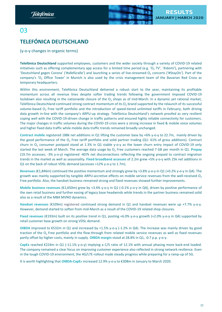

# <span id="page-21-0"></span>03

# **TELEFÓNICA DEUTSCHLAND**

(y-o-y changes in organic terms)

**Telefónica Deutschland** supported employees, customers and the wider society through a variety of COVID-19 related initiatives such as offering complementary app access for a limited time period (e.g. 'O<sub>2</sub> TV', 'Kidomi'), partnering with 'Deutschland gegen Corona' ('#allefüralle') and launching a series of live-streamed O<sub>2</sub> concerts ('#StayOn'). Part of the company's 'O<sub>2</sub> Office Tower' in Munich is also used by the crisis management team of the Bavarian Red Cross as temporary headquarters.

Within this environment, Telefónica Deutschland delivered a robust start to the year, maintaining its profitable momentum across all revenue lines despite softer trading trends following the government imposed COVID-19 lockdown also resulting in the nationwide closure of the  $O_2$  shops as of mid-March. In a dynamic yet rational market, Telefónica Deutschland continued strong contract momentum of its  $O<sub>2</sub>$  brand supported by the relaunch of its successful volume-based  $O<sub>2</sub>$  Free tariff portfolio and the introduction of speed-tiered unlimited tariffs in February; both driving data growth in-line with the company's ARPU-up strategy. Telefónica Deutschland's network proofed as very resilient coping well with the COVID-19-driven change in traffic patterns and ensured highly reliable connectivity for customers. The major changes in traffic volumes during the COVID-19 crisis were a strong increase in fixed & mobile voice volumes and higher fixed data traffic while mobile data traffic trends remained broadly unchanged.

**Contract mobile** registered 188k net additions in Q1 lifting the customer base by +6% y-o-y to 22.7m, mainly driven by the good performance of the  $O<sub>2</sub>$  Free tariff portfolio and solid partner trading (Q1: 61% of gross additions). Contract churn in  $O<sub>2</sub>$  consumer postpaid stood at 1.3% in Q1 stable y-o-y as the lower churn entry impact of COVID-19 only started the last week of March. The average data usage by O<sub>2</sub> Free customers reached 7 GB per month in Q1. Prepay (19.7m accesses; -3% y-o-y) registered -407k net disconnections reflecting the ongoing prepaid to contract migration trends in the market as well as seasonality**. Fixed broadband accesses** of 2.2m grew +5% y-o-y with 25k net additions in Q1 on the back of robust VDSL demand (accesses +12% y-o-y to 1.7m).

**Revenues** (€1,846m) continued the positive momentum and strongly grew by +3.8% y-o-y in Q1 (+0.2% y-o-y in Q4). The growth was mainly supported by tangible ARPU-accretive effects on mobile service revenues from the well-received  $O<sub>2</sub>$ Free portfolio. Also, the handset business remained strong and fixed revenues showed further improvements.

**Mobile business revenues** (€1,650m) grew by +3.4% y-o-y in Q1 (-0.1% y-o-y in Q4), driven by positive performance of the own retail business and further easing of legacy base headwinds while trends in the partner business remained solid also as a result of the MBA MVNO dynamics.

**Handset revenues** (€339m) registered continued strong demand in Q1 and handset revenues were up +7.7% y-o-y. However, demand started to soften from mid-March as a result of the COVID-19 related shop closures.

**Fixed revenues** (€193m) built on its positive trend in Q1, posting +6.0% y-o-y growth (+2.0% y-o-y in Q4) supported by retail customer base growth on strong VDSL demand.

**OIBDA** improved to €532m in Q1 and increased by +1.5% y-o-y (-1.2% in Q4). The increase was mainly driven by good traction of the  $O<sub>2</sub>$  Free portfolio and the flow-through from related mobile service revenues as well as fixed revenues partly offset by higher costs, mainly in supply. **OIBDA margin** stood at 28.8% in Q1, -0.7 p.p. y-o-y.

**CapEx** reached €224m in Q1 (-11.1% y-o-y) implying a C/S ratio of 12.1% with annual phasing more back-end loaded. The company remained a clear focus on improving customer experience also reflected in strong network resilience. Even in the tough COVID-19 environment, the 4G/LTE-rollout made steady progress while preparing for a ramp-up of 5G.

It is worth highlighting that **OIBDA-CapE**x increased 12.9% y-o-y to €308m in January to March 2020.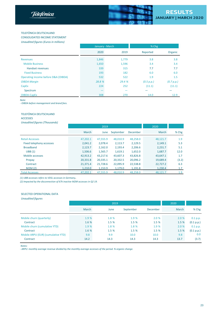

#### <span id="page-22-0"></span>TELEFÓNICA DEUTSCHLAND

CONSOLIDATED INCOME STATEMENT

|                                     | January - March |        | % Chg      |            |
|-------------------------------------|-----------------|--------|------------|------------|
|                                     | 2020            | 2019   | Reported   | Organic    |
| <b>Revenues</b>                     | 1,846           | 1,779  | 3.8        | 3.8        |
| <b>Mobile Business</b>              | 1,650           | 1,596  | 3.4        | 3.4        |
| Handset revenues                    | 339             | 315    | 7.7        | 7.7        |
| <b>Fixed Business</b>               | 193             | 182    | 6.0        | 6.0        |
| Operating income before D&A (OIBDA) | 532             | 522    | 1.9        | 1.5        |
| <b>OIBDA Margin</b>                 | 28.8 %          | 29.4 % | (0.5 p.p.) | (0.7 p.p.) |
| CapEx                               | 224             | 252    | (11.1)     | (11.1)     |
| Spectrum                            |                 |        |            |            |
| OIBDA-CapEx                         | 308             | 270    | 14.0       | 12.9       |

*Note:*

*- OIBDA before management and brand fees.*

#### TELEFÓNICA DEUTSCHLAND

ACCESSES

*Unaudited figures (Thousands)*

|                          |          | 2019     |           |          | 2020     |       |
|--------------------------|----------|----------|-----------|----------|----------|-------|
|                          | March    | June     | September | December | March    | % Chg |
| <b>Retail Accesses</b>   | 47,202.1 | 47,555.9 | 48,010.9  | 48,258.0 | 48,121.7 | 1.9   |
| Fixed telephony accesses | 2,041.2  | 2.078.4  | 2,113.7   | 2,129.5  | 2,149.1  | 5.3   |
| <b>Broadband</b>         | 2,123.7  | 2,162.0  | 2,193.4   | 2.206.6  | 2,231.7  | 5.1   |
| UBB(1)                   | 1,506.6  | 1,565.7  | 1,619.1   | 1.652.0  | 1,687.7  | 12.0  |
| Mobile accesses          | 42,913.2 | 43.217.6 | 43.607.3  | 43.826.8 | 43,647.1 | 1.7   |
| Prepay                   | 20,331.8 | 20,335.1 | 20,332.5  | 20.096.2 | 19,689.4 | (3.2) |
| Contract                 | 21,371.4 | 21,728.6 | 22,095.9  | 22,538.8 | 22,727.2 | 6.3   |
| M2M(2)                   | 1,210.0  | 1,153.9  | 1,179.0   | 1,191.8  | 1,230.4  | 1.7   |
| <b>Total Accesses</b>    | 47,202.1 | 47,555.9 | 48.010.9  | 48.258.0 | 48,121.7 | 1.9   |

*(1) UBB accesses refers to VDSL accesses in Germany*.

(2) Impacted by the disconnection of 67k inactive M2M accesses in Q2 19.

# SELECTED OPERATIONAL DATA

#### *Unaudited figures*

|                                    |       | 2019  | 2020      |                 |       |            |
|------------------------------------|-------|-------|-----------|-----------------|-------|------------|
|                                    | March | June  | September | <b>December</b> | March | $%$ Chg    |
| Mobile churn (quarterly)           | 1.9%  | 1.8 % | 1.9 %     | 2.0%            | 2.0%  | 0.1 p.p.   |
| Contract                           | 1.6 % | 1.5 % | 1.5%      | 1.5 %           | 1.5 % | (0.1 p.p.) |
| Mobile churn (cumulative YTD)      | 1.9%  | 1.8%  | 1.8 %     | 1.9 %           | 2.0%  | 0.1 p.p.   |
| Contract                           | 1.6 % | 1.5 % | 1.5%      | 1.5%            | 1.5 % | (0.1 p.p.) |
| Mobile ARPU (EUR) (cumulative YTD) | 9.8   | 9.9   | 10.0      | 10.0            | 9.8   | 0.0        |
| Contract                           | 14.2  | 14.3  | 14.3      | 14.3            | 13.7  | (3.7)      |

 *Notes:*

*- ARPU: monthly average revenue divided by the monthly average accesses of the period. % organic change.*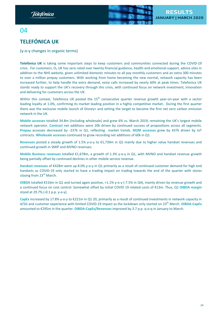

# <span id="page-23-0"></span> $\Omega$

# **TELEFÓNICA UK**

(y-o-y changes in organic terms)

**Telefónica UK** is taking some important steps to keep customers and communities connected during the COVID-19 crisis. For customers,  $O<sub>2</sub>$  UK has zero rated over twenty financial guidance, health and emotional support, advice sites in addition to the NHS website, given unlimited domestic minutes to all pay monthly customers and an extra 300 minutes to over a million prepay customers. With working from home becoming the new normal, network capacity has been increased further, to help handle the extra demand, voice calls increased by nearly 60% at peak times. Telefonica UK stands ready to support the UK's recovery through this crisis, with continued focus on network investment, innovation and delivering for customers across the UK.

Within this context, Telefónica UK posted the 15<sup>th</sup> consecutive quarter revenue growth year-on-year with a sector leading loyalty at 1.0%, confirming its market leading position in a highly competitive market. During the first quarter there was the exclusive mobile launch of Disney+ and setting the target to become the first net zero carbon emission network in the UK.

**Mobile accesses** totalled 34.8m (including wholesale) and grew 6% vs. March 2019, remaining the UK's largest mobile network operator. **Contract** net additions were 20k driven by continued success of propositions across all segments. **Prepay** accesses decreased by -237k in Q1, reflecting market trends. **M2M accesses** grew by 437k driven by IoT contracts. **Wholesale accesses** continued to grow recording net additions of 60k in Q1.

**Revenues** posted a steady growth of 1.5% y-o-y to €1,739m in Q1 mainly due to higher value handset revenues and continued growth in SMIP and MVNO revenues.

**Mobile Business revenues** totalled €1,678m, a growth of 1.3% y-o-y in Q1, with MVNO and handset revenue growth being partially offset by continued declines in other mobile service revenue.

**Handset revenues** of €428m were up 8.0% y-o-y in Q1 primarily as a result of continued customer demand for high end handsets as COVID-19 only started to have a trading impact on trading towards the end of the quarter with stores closing from 23<sup>rd</sup> March.

**OIBDA** totalled €516m in Q1 and turned again positive, +1.1% y-o-y (-7.5% in Q4), mainly driven by revenue growth and a continued focus on cost control. Somewhat offset by initial COVID 19 related costs of €13m. Thus, Q1 **OIBDA margin** stood at 29.7% (-0.1 p.p. y-o-y).

**CapEx** increased by 17.8% y-o-y to €221m in Q1 20, primarily as a result of continued investments in network capacity in 4/5G and customer experience with limited COVID-19 impact as the lockdown only started on 23th March. **OIBDA-CapEx** amounted to €295m in the quarter. **OIBDA-CapEx/Revenues** improved by 3.7 p.p. q-o-q in January to March.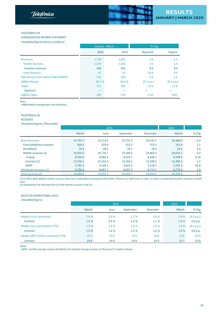

#### **TELEFÓNICA UK**

CONSOLIDATED INCOME STATEMENT *Unaudited figures (Euros in millions)*

|                                     | January - March |        | % Chg      |            |
|-------------------------------------|-----------------|--------|------------|------------|
|                                     | 2020            | 2019   | Reported   | Organic    |
| <b>Revenues</b>                     | 1,739           | 1,691  | 2.9        | 1.5        |
| <b>Mobile Business</b>              | 1,678           | 1,636  | 2.6        | 1.3        |
| <b>Handset revenues</b>             | 428             | 391    | 9.4        | 8.0        |
| <b>Fixed Business</b>               | 61              | 55     | 10.9       | 9.4        |
| Operating income before D&A (OIBDA) | 516             | 504    | 2.4        | 1.1        |
| <b>OIBDA Margin</b>                 | 29.7 %          | 29.8 % | (0.1 p.p.) | (0.1 p.p.) |
| CapEx                               | 221             | 185    | 19.4       | 17.8       |
| Spectrum                            |                 |        |            |            |
| OIBDA-CapEx                         | 295             | 319    | (7.4)      | (8.6)      |

*Note:*

*- OIBDA before management and brand fees.*

#### **TELEFÓNICA UK**

ACCESSES

*Unaudited figures (Thousands)*

| .                             |          | 2019     | 2020      |          |          |       |
|-------------------------------|----------|----------|-----------|----------|----------|-------|
|                               | March    | June     | September | December | March    | % Chg |
| <b>Retail Accesses</b>        | 24,793.7 | 25,113.6 | 25,731.5  | 26,145.5 | 26,368.0 | 6.3   |
| Fixed telephony accesses      | 309.3    | 310.9    | 312.2     | 313.3    | 315.8    | 2.1   |
| <b>Broadband</b>              | 28.4     | 28.5     | 28.7      | 28.9     | 29.0     | 2.0   |
| Mobile accesses (1)           | 24,456.0 | 24.774.1 | 25,390.5  | 25,803.3 | 26,023.2 | 6.4   |
| Prepay                        | 8,534.6  | 8,482.6  | 8,625.1   | 8,436.1  | 8,199.6  | (3.9) |
| Contract (1)                  | 12,136.1 | 12,142.4 | 12,164.1  | 12,248.5 | 12,268.3 | 1.1   |
| M2M                           | 3,785.2  | 4,149.1  | 4,601.3   | 5,118.7  | 5,555.3  | 46.8  |
| <b>Wholesale Accesses (1)</b> | 8,290.3  | 8,487.7  | 8,697.2   | 8,714.7  | 8,774.2  | 5.8   |
| Total accesses (2)            | 33,084.0 | 33,601.3 | 34,428.7  | 34,860.2 | 35,142.2 | 6.2   |

(1) In 2019, 665k Mobile contract accesses have been reclassified to wholesale (December 19 base as a reference), in order to show a comparable business evolution in both *lines.*

*(2) Impacted by the disconnection of 150k inactive accesses in Q4 19.*

# SELECTED OPERATIONAL DATA

| <b>Unaudited figures</b>           |       |       |           |          |       |            |
|------------------------------------|-------|-------|-----------|----------|-------|------------|
|                                    |       | 2019  | 2020      |          |       |            |
|                                    | March | June  | September | December | March | % Chg      |
| Mobile churn (quarterly)           | 1.9%  | 1.8 % | 1.7 %     | 2.0%     | 1.8 % | (0.1 p.p.) |
| Contract                           | 1.0%  | 0.9%  | 1.0 %     | 1.1%     | 1.0 % | 0.0 p.p.   |
| Mobile churn (cumulative YTD)      | 1.9%  | 1.8 % | 1.8 %     | 1.9 %    | 1.8 % | (0.1 p.p.) |
| Contract                           | 1.0%  | 1.0 % | 1.0%      | 1.0%     | 1.0%  | 0.0 p.p.   |
| Mobile ARPU (EUR) (cumulative YTD) | 15.0  | 15.0  | 14.9      | 14.8     | 13.8  | (9.2)      |
| Contract                           | 24.8  | 24.9  | 24.8      | 24.9     | 23.7  | (5.6)      |

*Notes:*

*- ARPU: monthly average revenue divided by the monthly average accesses of the period. % organic change.*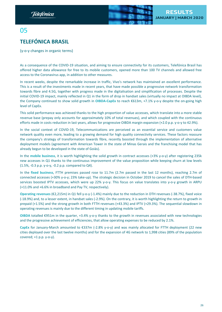

# <span id="page-25-0"></span>05

# **TELEFÓNICA BRASIL**

(y-o-y changes in organic terms)

As a consequence of the COVID-19 situation, and aiming to ensure connectivity for its customers, Telefónica Brasil has offered higher data allowance for free to its mobile customers, opened more than 100 TV channels and allowed free access to the Coronavirus app, in addition to other measures.

In recent weeks, despite the remarkable increase in traffic, Vivo's network has maintained an excellent performance. This is a result of the investments made in recent years, that have made possible a progressive network transformation towards fibre and 4.5G, together with progress made in the digitalisation and simplification of processes. Despite the initial COVID-19 impact, mainly reflected in Q1 in the form of drop in handset sales (virtually no impact at OIBDA level), the Company continued to show solid growth in **OIBDA-CapEx** to reach €613m, +7.1% y-o-y despite the on-going high level of CapEx.

This solid performance was achieved thanks to the high proportion of value accesses, which translate into a more stable revenue base (prepay only accounts for approximately 10% of total revenues), and which coupled with the continuous efforts made in costs reduction in last years, allows for progressive OIBDA margin expansion (+2.0 p.p. y-o-y to 42.9%).

In the social context of COVID-19, Telecommunications are perceived as an essential service and customers value network quality even more, leading to a growing demand for high quality connectivity services. These factors reassure the company's strategy of transformation towards fibre, recently boosted through the implementation of alternative deployment models (agreement with American Tower in the state of Minas Gerais and the franchising model that has already begun to be developed in the state of Goiás).

In the **mobile business**, it is worth highlighting the solid growth in contract accesses (+3% y-o-y) after registering 235k new accesses in Q1 thanks to the continuous improvement of the value proposition while keeping churn at low levels (1.5%, -0.3 p.p. y-o-y, -0.2 p.p. compared to Q4).

In the **fixed business**, FTTH premises passed rose to 11.7m (2.7m passed in the last 12 months), reaching 2.7m of connected accesses (+30% y-o-y; 23% take-up). The strategic decision in October 2019 to cancel the sales of DTH-based services boosted IPTV accesses, which were up 22% y-o-y. This focus on value translates into y-o-y growth in ARPU (+11.0% and +6.6% in broadband and Pay TV, respectively).

**Operating revenues** (€2,215m) in Q1 fell y-o-y (-1.4%) mainly due to the reduction in DTH revenues (-38.7%), fixed voice (-18.9%) and, to a lesser extent, in handset sales (-2.9%). On the contrary, it is worth highlighting the return to growth in prepaid (+1.5%) and the strong growth in both FTTH revenues (+43.3%) and IPTV (+29.3%). The sequential slowdown in operating revenues is mainly due to the different timing in updating mobile tariffs.

**OIBDA** totalled €951m in the quarter, +3.4% y-o-y thanks to the growth in revenues associated with new technologies and the progressive achievement of efficiencies, that allow operating expenses to be reduced by 2.1%.

**CapEx** for January-March amounted to €337m (-2.8% y-o-y) and was mainly allocated for FTTH deployment (22 new cities deployed over the last twelve months) and for the expansion of 4G network to 1,998 cities (89% of the population covered;  $+1$  p.p. y-o-y).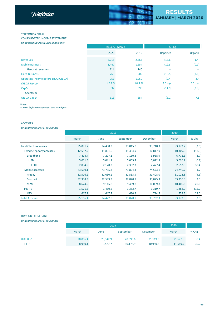

#### TELEFÓNICA BRASIL

CONSOLIDATED INCOME STATEMENT *Unaudited figures (Euros in millions)*

|                                     | January - March          |        | % Chg    |          |  |
|-------------------------------------|--------------------------|--------|----------|----------|--|
|                                     | 2020                     | 2019   | Reported | Organic  |  |
| <b>Revenues</b>                     | 2,215                    | 2,563  | (13.6)   | (1.4)    |  |
| <b>Mobile Business</b>              | 1,447                    | 1,654  | (12.5)   | (0.1)    |  |
| <b>Handset revenues</b>             | 119                      | 140    |          |          |  |
| <b>Fixed Business</b>               | 768                      | 909    | (15.5)   | (3.6)    |  |
| Operating income before D&A (OIBDA) | 951                      | 1,050  | (9.4)    | 3.4      |  |
| <b>OIBDA Margin</b>                 | 42.9 %                   | 40.9 % | 2.0 p.p. | 2.0 p.p. |  |
| CapEx                               | 337                      | 396    | (14.9)   | (2.8)    |  |
| Spectrum                            | $\overline{\phantom{0}}$ |        |          |          |  |
| OIBDA-CapEx                         | 613                      | 654    | (6.1)    | 7.1      |  |

*Notes:*

*- OIBDA before management and brand fees.*

## ACCESSES

*Unaudited figures (Thousands)*

|                               |          | 2020     |           |          |          |        |
|-------------------------------|----------|----------|-----------|----------|----------|--------|
|                               | March    | June     | September | December | March    | % Chg  |
| <b>Final Clients Accesses</b> | 95,091.7 | 94,458.3 | 93,815.0  | 93,718.9 | 93,173.2 | (2.0)  |
| Fixed telephony accesses      | 12,557.9 | 11,891.0 | 11,384.9  | 10,817.0 | 10,309.0 | (17.9) |
| <b>Broadband</b>              | 7,414.4  | 7,297.1  | 7,150.8   | 6,938.9  | 6,772.6  | (8.7)  |
| <b>UBB</b>                    | 5,031.5  | 5,041.1  | 5,055.4   | 5,022.8  | 5,026.7  | (0.1)  |
| <b>FTTH</b>                   | 2,034.5  | 2,170.3  | 2,332.3   | 2,477.4  | 2,652.3  | 30.4   |
| Mobile accesses               | 73,519.1 | 73,735.3 | 73,824.4  | 74,573.1 | 74,740.7 | 1.7    |
| Prepay                        | 32,506.2 | 32,030.2 | 31,533.9  | 31,408.0 | 31,023.8 | (4.6)  |
| Contract                      | 32,338.3 | 32,589.3 | 32,820.7  | 33,075.3 | 33,310.3 | 3.0    |
| M2M                           | 8,674.5  | 9,115.8  | 9,469.8   | 10,089.8 | 10,406.6 | 20.0   |
| Pay TV                        | 1,521.5  | 1,460.2  | 1,382.7   | 1,319.7  | 1,282.9  | (15.7) |
| <b>IPTV</b>                   | 617.2    | 647.7    | 680.8     | 714.5    | 753.3    | 22.0   |
| <b>Total Accesses</b>         | 95,106.4 | 94,472.8 | 93,828.7  | 93,732.3 | 93,173.3 | (2.0)  |

## OWN UBB COVERAGE

*Unaudited figures (Thousands)*

|                 |          | 2019     |           |          |          |         |  |
|-----------------|----------|----------|-----------|----------|----------|---------|--|
|                 | March    | June     | September | December | March    | $%$ Chg |  |
| <b>UUII UBB</b> | 20,006.4 | 20,342.9 | 20,696.6  | 21,119.9 | 21,677.8 | 8.4     |  |
| <b>FTTH</b>     | 8,980.1  | 9,527.7  | 10,176.9  | 10,950.2 | 11,689.7 | 30.2    |  |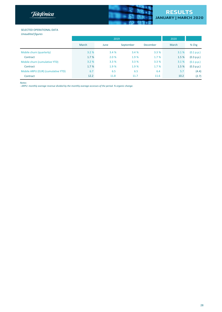



# **RESULTS**<br>JANUARY | MARCH 2020

# SELECTED OPERATIONAL DATA

*Unaudited figures*

|                                    |       | 2019  | 2020      |          |       |            |
|------------------------------------|-------|-------|-----------|----------|-------|------------|
|                                    | March | June  | September | December | March | % Chg      |
| Mobile churn (quarterly)           | 3.2%  | 3.4 % | 3.4 %     | 3.3%     | 3.1%  | (0.1 p.p.) |
| Contract                           | 1.7%  | 2.0%  | 1.9 %     | 1.7%     | 1.5 % | (0.3 p.p.) |
| Mobile churn (cumulative YTD)      | 3.2%  | 3.3%  | 3.3%      | 3.3%     | 3.1 % | (0.1 p.p.) |
| Contract                           | 1.7%  | 1.9 % | 1.9 %     | 1.7%     | 1.5 % | (0.3 p.p.) |
| Mobile ARPU (EUR) (cumulative YTD) | 6.7   | 6.5   | 6.5       | 6.4      | 5.7   | (4.4)      |
| Contract                           | 12.2  | 11.8  | 11.7      | 11.6     | 10.2  | (2.7)      |

*Notes:*

- ARPU: monthly average revenue divided by the monthly average accesses of the period. % organic change.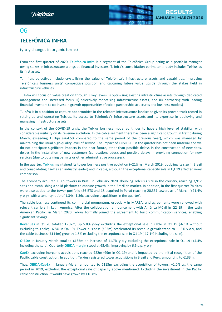

# <span id="page-28-0"></span>06 **TELEFÓNICA INFRA**

(y-o-y changes in organic terms)

From the first quarter of 2020, **Telefónica Infra** is a segment of the Telefónica Group acting as a portfolio manager owing stakes in infrastructure alongside financial investors. T. Infra's consolidation perimeter already includes Telxius as its first asset.

T. Infra's objectives include crystallising the value of Telefónica's infrastructure assets and capabilities, improving Telefónica's business units' competitive position and capturing future value upside through the stakes held in infrastructure vehicles.

T. Infra will focus on value creation through 3 key levers: i) optimising existing infrastructure assets through dedicated management and increased focus, ii) selectively monetising infrastructure assets, and iii) partnering with leading financial investors to co-invest in growth opportunities (flexible partnership structures and business models)

T. Infra is in a position to capture opportunities in the telecom infrastructure landscape given its proven track record in setting-up and operating Telxius, its access to Telefónica's infrastructure assets and its expertise in deploying and managing infrastructure assets.

In the context of the COVID-19 crisis, the Telxius business model continues to have a high level of stability, with considerable visibility on its revenue evolution. In the cable segment there has been a significant growth in traffic during March, exceeding 15Tbps (+64.5% compared to the same period of the previous year), which was managed by maintaining the usual high-quality level of service. The impact of COVID-19 in the quarter has not been material and we do not anticipate significant impacts in the near future, other than possible delays in the construction of new sites, delays in the installation of new customers (co-locations adds), and possible delays in providing connection for new services (due to obtaining permits or other administrative processes).

In the quarter, **Telxius** maintained its tower business positive evolution (+21% vs. March 2019, doubling its size in Brazil and consolidating itself as an industry leader) and in cable, although the exceptional capacity sale in Q1 19 affected y-o-y comparison.

The Company acquired 1,909 towers in Brazil in February 2020, doubling Telxius's size in the country, reaching 3,912 sites and establishing a solid platform to capture growth in the Brazilian market. In addition, in the first quarter 74 sites were also added to the tower portfolio (56 BTS and 18 acquired in Peru) reaching 20,331 towers as of March (+21.4% y-o-y), with a tenancy ratio of 1.34x (1.36x excluding acquisitions in the quarter).

The cable business continued its commercial momentum, especially in MAREA, and agreements were renewed with relevant carriers in Latin America. After the collaboration announcement with América Móvil in Q2 19 in the Latin American Pacific, in March 2020 Telxius formally joined the agreement to build communication services, enabling significant savings.

**Revenues** in Q1 20 totalled €207m, up 5.8% y-o-y excluding the exceptional sale in cable in Q1 19 (-6.1% without excluding this sale; +6.8% in Q4 19). Tower business (€92m) accelerated its revenue growth trend to 11.5% y-o-y, and the cable business (€114m) grew by 1.5% excluding the exceptional sale in Q1 19 (-17.1% including the sale).

**OIBDA** in January-March totalled €135m an increase of 11.7% y-o-y excluding the exceptional sale in Q1 19 (+4.4% including the sale). Quarterly **OIBDA margin** stood at 65.4%, improving by 6.6 p.p. y-o-y.

**CapEx** excluding inorganic acquisitions reached €22m (€9m in Q1 19) and is impacted by the initial recognition of the Pacific cable construction. In addition, Telxius registered tower acquisitions in Brazil and Peru, amounting to €133m.

Thus, **OIBDA-CapEx** in January-March amounted to €113m excluding the acquisition of towers, +1.0% vs, the same period in 2019, excluding the exceptional sale of capacity above mentioned. Excluding the investment in the Pacific cable construction, it would have grown by +10.8%.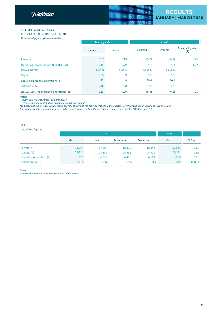



## **TELEFONICA INFRA (Telxius)**

CONSOLIDATED INCOME STATEMENT

*Unaudited figures (Euros in millions)*

|                                         | January - March |       |          | % Var    |                         |  |
|-----------------------------------------|-----------------|-------|----------|----------|-------------------------|--|
|                                         | 2020            | 2019  | Reported | Organic  | Ex capacity sale<br>(2) |  |
| <b>Revenues</b>                         | 207             | 219   | (5.7)    | (6.1)    | 5.8                     |  |
| Operating income before D&A (OIBDA)     | 135             | 129   | 4.7      | 4.4      | 11.7                    |  |
| <b>OIBDA Margin</b>                     | 65.4 %          | 58.8% | 6.5 p.p. | 6.6 p.p. |                         |  |
| CapEx                                   | 155             | 9     | n.s.     | n.s.     |                         |  |
| CapEx ex inorganic operations (1)       | 22              | 9     | 140.4    | 140.2    |                         |  |
| OIBDA-CapEx                             | (20)            | 120   | C.S.     | C.S.     |                         |  |
| OIBDA-CapEx ex inorganic operations (1) | 113             | 120   | (5.8)    | (6.1)    | 1.0                     |  |

*Notes:*

*- OIBDA before management and brand fees. - Telxius Argentina contribution to organic growth is excluded.*

(1) CapEx and OIBDA-CapEx ex inorganic operations, exclude the M&A operations in the quarter (towers acquisition in Brazil and Peru in Q1 20).

(2) Ex capacity sale y-o-y change, expressed in organic terms, exclude the exceptional capacity sale in Cable (MAREA) in Q1 19.

KPIs

## *Unaudited figures*

|                          |        | 2019   | 2020      |                 |        |         |
|--------------------------|--------|--------|-----------|-----------------|--------|---------|
|                          | March  | June   | September | <b>December</b> | March  | % Chg   |
| Towers (#)               | 16,754 | 17,550 | 18,130    | 18,348          | 20,331 | 21.4    |
| Tenants (#)              | 22,924 | 23,889 | 24,556    | 24,911          | 27,181 | 18.6    |
| Tenants (non anchor) (#) | 6,170  | 6,339  | 6,426     | 6,563           | 6,850  | 11.0    |
| Tenancy ratio (%)        | 1,37x  | 1,36x  | 1,35x     | 1,36x           | 1.34x  | (0.02)x |

*Notes:*

- Non anchor tenants refer to other tenants than anchor.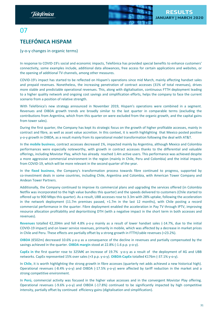

# <span id="page-30-0"></span>07

# **TELEFÓNICA HISPAM**

(y-o-y changes in organic terms)

In response to COVID-19's social and economic impacts, Telefónica has provided special benefits to enhance customers' connectivity, some examples include, additional data allowances, free access for certain applications and websites, or the opening of additional TV channels, among other measures.

COVID-19's impact has started to be reflected on Hispam's operations since mid March, mainly affecting handset sales and prepaid revenues. Nonetheless, the increasing penetration of contract accesses (31% of total revenues), drives more stable and predictable operational revenues. This, along with digitalisation, continuous FTTH deployment leading to a higher quality network and ongoing cost savings and simplification efforts, helps the company to face the current scenario from a position of relative strength.

With Telefónica's new strategy announced in November 2019, Hispam's operations were combined in a segment. Revenues and OIBDA growth trends are broadly similar to the last quarter in comparable terms (excluding the contributions from Argentina, which from this quarter on were excluded from the organic growth, and the capital gains from tower sales).

During the first quarter, the Company has kept its strategic focus on the growth of higher profitable accesses, mainly in contract and fibre, as well as asset value accretion. In this context, it is worth highlighting that Mexico posted positive y-o-y growth in OIBDA, as a result mainly from its operational model transformation following the deal with AT&T.

In the **mobile business**, contract accesses decreased 1%, impacted mainly by Argentina, although Mexico and Colombia performances were especially noteworthy, with growth in contract accesses thanks to the differential and valuable offerings, including Movistar Play, which has already reached 1.4m active users. This performance was achieved despite a more aggressive commercial environment in the region (mainly in Chile, Peru and Colombia) and the initial impacts from COVID-19, which will be more relevant in the second quarter of the year.

In the **fixed business**, the Company's transformation process towards fibre continued to progress, supported by co-investment deals in some countries, including Chile, Argentina and Colombia, with American Tower Company and Andean Tower Partners.

Additionally, the Company continued to improve its commercial plans and upgrading the services offered (in Colombia Netflix was incorporated to the high value bundles this quarter) and the speeds delivered to customers (Chile started to offered up to 900 Mbps this quarter). As a result, UBB accesses rose to 3.3m with 28% uptake, following the acceleration in the network deployment (11.7m premises passed, +1.7m in the last 12 months), with Chile posting a record commercial performance in the quarter. Fibre deployment enabled the acceleration in Pay TV through IPTV, improving resource allocation profitability and deprioritising DTH (with a negative impact in the short term in both accesses and revenues).

**Revenues** totalled €2,204m and fell 4.8% y-o-y mainly as a result of lower handset sales (-14.7%, due to the initial COVID-19 impact) and on lower service revenues, primarily in mobile, which was affected by a decrease in market prices in Chile and Peru. These effects are partially offset by a strong growth in FTTH/cable revenues (+23.2%).

**OIBDA** (€502m) decreased 10.6% y-o-y as a consequence of the decline in revenues and partially compensated by the savings achieved in the quarter. **OIBDA margin** stood at 22.8% (-1.6 p.p. y-o-y).

**CapEx in t**he first quarter rose to 325M€ an increase of 19.7% y-o-y as a result of the deployment of 4G and UBB networks. CapEx represented 15% over sales (+3 p.p. y-o-y). **OIBDA-CapEx** totalled €176m (-37.1% y-o-y).

In **Chile**, it is worth highlighting the strong growth in fibre accesses (quarterly net adds achieved a new historical high). Operational revenues (-8.4% y-o-y) and OIBDA (-17.5% y-o-y) were affected by tariff reduction in the market and a strong competitive environment.

In **Perú**, commercial activity was focused in the higher value accesses and in the convergent Movistar Play offering. Operational revenues (-9.6% y-o-y) and OIBDA (-17.8%) continued to be significantly impacted by high competitive intensity, partially offset by continued efficiency gains (digitalisation and simplification).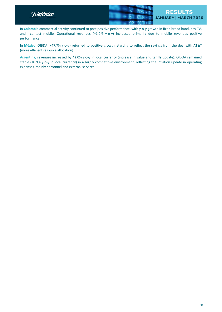

In **Colombia** commercial activity continued to post positive performance, with y-o-y growth in fixed broad band, pay TV, and contact mobile. Operational revenues (+1.0% y-o-y) increased primarily due to mobile revenues positive performance.

In **México**, OIBDA (+47.7% y-o-y) returned to positive growth, starting to reflect the savings from the deal with AT&T (more efficient resource allocation).

**Argentina,** revenues increased by 42.0% y-o-y in local currency (increase in value and tariffs update). OIBDA remained stable (+0.9% y-o-y in local currency) in a highly competitive environment, reflecting the inflation update in operating expenses, mainly personnel and external services.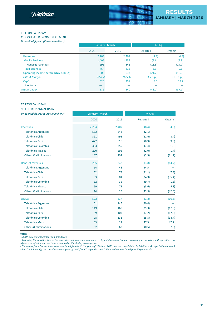

#### TELEFÓNICA HISPAM

CONSOLIDATED INCOME STATEMENT *Unaudited figures (Euros in millions)*

|                                     | January - March |        | % Chg      |            |
|-------------------------------------|-----------------|--------|------------|------------|
|                                     | 2020            | 2019   | Reported   | Organic    |
| <b>Revenues</b>                     | 2,204           | 2,407  | (8.4)      | (4.8)      |
| <b>Mobile Business</b>              | 1,406           | 1,555  | (9.6)      | (5.3)      |
| <b>Handset revenues</b>             | 295             | 342    | (13.8)     | (14.7)     |
| <b>Fixed Business</b>               | 764             | 812    | (5.9)      | (0.6)      |
| Operating income before D&A (OIBDA) | 502             | 637    | (21.2)     | (10.6)     |
| <b>OIBDA Margin</b>                 | 22.8 %          | 26.5 % | (3.7 p.p.) | (1.6 p.p.) |
| CapEx                               | 325             | 297    | 9.5        | 19.7       |
| Spectrum                            |                 |        |            |            |
| OIBDA-CapEx                         | 176             | 340    | (48.1)     | (37.1)     |

## TELEFÓNICA HISPAM

## SELECTED FINANCIAL DATA

| Unaudited figures (Euros in millions)<br>January - March |       | $%$ Chg |          |         |
|----------------------------------------------------------|-------|---------|----------|---------|
|                                                          | 2020  | 2019    | Reported | Organic |
| <b>Revenues</b>                                          | 2,204 | 2,407   | (8.4)    | (4.8)   |
| Telefónica Argentina                                     | 532   | 543     | (2.1)    |         |
| <b>Telefónica Chile</b>                                  | 391   | 498     | (21.6)   | (8.4)   |
| Telefónica Perú                                          | 472   | 518     | (8.9)    | (9.6)   |
| Telefónica Colombia                                      | 333   | 359     | (7.4)    | 1.0     |
| <b>Telefónica México</b>                                 | 290   | 296     | (2.0)    | (1.7)   |
| <b>Others &amp; eliminations</b>                         | 187   | 192     | (2.5)    | (11.2)  |
| <b>Handset revenues</b>                                  | 295   | 342     | (13.8)   | (14.7)  |
| <b>Telefónica Argentina</b>                              | 64    | 48      | 34.5     |         |
| <b>Telefónica Chile</b>                                  | 62    | 79      | (21.1)   | (7.8)   |
| Telefónica Perú                                          | 53    | 81      | (34.9)   | (35.4)  |
| <b>Telefónica Colombia</b>                               | 32    | 35      | (9.7)    | (1.5)   |
| <b>Telefónica México</b>                                 | 69    | 73      | (5.6)    | (5.3)   |
| <b>Others &amp; eliminations</b>                         | 14    | 25      | (43.9)   | (42.6)  |
| <b>OIBDA</b>                                             | 502   | 637     | (21.2)   | (10.6)  |
| <b>Telefónica Argentina</b>                              | 101   | 145     | (30.4)   |         |
| <b>Telefónica Chile</b>                                  | 119   | 169     | (29.3)   | (17.5)  |
| Telefónica Perú                                          | 89    | 107     | (17.2)   | (17.8)  |
| Telefónica Colombia                                      | 98    | 131     | (25.5)   | (18.7)  |
| <b>Telefónica México</b>                                 | 33    | 22      | 47.3     | 47.7    |
| <b>Others &amp; eliminations</b>                         | 62    | 63      | (0.5)    | (7.8)   |

*Notes:*

*- OIBDA before management and brand fees.*

- Following the consideration of the Argentine and Venezuela economies as hyperinflationary from an accounting perspective, both operations are *adjusted by inflation and are to be accounted at the closing exchange rate.*

- The results from Central America are excluded from both the years of 2019 and 2020 and are consolidated in Telefónica Group's "eliminations & others". Additionally, the contribution to organic growth from T. Argentina and T. Venezuela are excluded from Hispam results.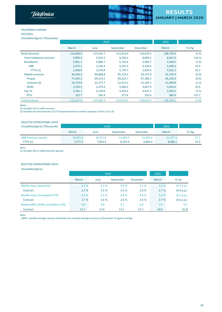**Telefonica** 



## TELEFÓNICA HISPAM ACCESSES

| <b>Unaudited figures (Thousands)</b> |           |           |           |           |           |        |
|--------------------------------------|-----------|-----------|-----------|-----------|-----------|--------|
|                                      |           | 2019      | 2020      |           |           |        |
|                                      | March     | June      | September | December  | March     | % Chg  |
| <b>Retail Accesses</b>               | 115,606.0 | 113,542.7 | 113,353.6 | 110,670.3 | 108,739.0 | (5.9)  |
| Fixed telephony accesses             | 9,850.3   | 9,542.5   | 9,236.2   | 8,804.2   | 8,461.8   | (14.1) |
| <b>Broadband</b>                     | 5,861.1   | 5,806.7   | 5,733.4   | 5,564.7   | 5,428.5   | (7.4)  |
| <b>UBB</b>                           | 2,975.2   | 3,136.4   | 3,235.9   | 3,249.6   | 3,298.3   | 10.9   |
| FTTH(1)                              | 2,348.8   | 2,579.8   | 2.770.7   | 2,829.6   | 2,916.2   | 24.2   |
| Mobile accesses                      | 96,568.3  | 94,868.8  | 95,133.3  | 93,137.8  | 91,759.4  | (5.0)  |
| Prepay                               | 71,059.2  | 69,214.2  | 69,222.7  | 67,286.2  | 66,156.9  | (6.9)  |
| Contract (2)                         | 22,179.8  | 22,277.7  | 22,412.2  | 22,243.7  | 21,909.8  | (1.2)  |
| M2M                                  | 3,329.2   | 3,376.9   | 3,498.3   | 3,607.9   | 3,692.6   | 10.9   |
| Pay TV                               | 3,181.1   | 3,178.6   | 3,103.4   | 3,015.2   | 2,943.2   | (7.5)  |
| <b>IPTV</b>                          | 152.7     | 205.4     | 277.6     | 335.6     | 385.8     | 152.7  |
| <b>Total Accesses</b>                | 115,627.9 | 113,565.5 | 113,374.9 | 110,691.5 | 108,760.1 | (5.9)  |

*Notes:*

*(1) Includes Peru's cable accesses.*

(2) Includes the disconnection of 273 thousand inactive contract accesses in Peru in Q1 19.

## SELECTED OPERATIONAL DATA

| Unaudited figures (Thousands) |          | 2019     | 2020      |          |          |       |
|-------------------------------|----------|----------|-----------|----------|----------|-------|
|                               | March    | June     | September | December | March    | % Chg |
| <b>UBB Premises passed</b>    | 10,015.6 | 10.571.0 | 11.093.7  | 11.422.6 | 11,727.5 | 17.1  |
| FTTH $(1)$                    | 7.277.3  | 7.832.6  | 8.355.4   | 8.684.3  | 8.989.1  | 23.5  |

*Note:*

*(1) Includes Peru's cable premises passed.*

#### SELECTED OPERATIONAL DATA

*Unaudited figures* 

|                                    | 2019  |       |           |          | 2020  |            |
|------------------------------------|-------|-------|-----------|----------|-------|------------|
|                                    | March | June  | September | December | March | % Var      |
| Mobile churn (quarterly)           | 4.2 % | 4.3 % | 3.4 %     | 4.1 %    | 3.4%  | (0.7 p.p.) |
| Contract                           | 2.7%  | 2.5%  | 2.6%      | 2.8 %    | 2.7%  | (0.0 p.p.) |
| Mobile churn (cumulative YTD)      | 4.2 % | 4.2 % | 4.0 %     | 4.0 %    | 3.4 % | (0.7 p.p.) |
| Contract                           | 2.7%  | 2.6 % | 2.6%      | 2.6%     | 2.7%  | (0.0 p.p.) |
| Mobile ARPU (EUR) (cumulative YTD) | 4.0   | 4.0   | 4.1       | 4.0      | 3.9   | 3.9        |
| Contract                           | 11.7  | 12.0  | 12.2      | 12.2     | 10.9  | (0.3)      |

*Note:*

- ARPU: monthly average revenue divided by the monthly average accesses of the period. % organic change.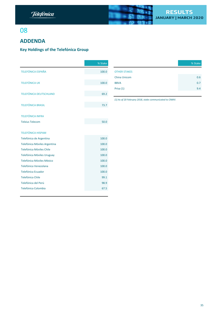

# <span id="page-34-0"></span>08

# **ADDENDA**

# **Key Holdings of the Telefónica Group**

|                               | % Stake |                                                         | % Stake |
|-------------------------------|---------|---------------------------------------------------------|---------|
| <b>TELEFÓNICA ESPAÑA</b>      | 100.0   | <b>OTHER STAKES</b>                                     |         |
|                               |         | China Unicom                                            | 0.6     |
| <b>TELEFÓNICA UK</b>          | 100.0   | <b>BBVA</b>                                             | 0.7     |
|                               |         | Prisa (1)                                               | 9.4     |
| <b>TELEFÓNICA DEUTSCHLAND</b> | 69.2    |                                                         |         |
|                               |         | (1) As of 20 February 2018, stake communicated to CNMV. |         |
| <b>TELEFÓNICA BRASIL</b>      | 73.7    |                                                         |         |
|                               |         |                                                         |         |
| <b>TELEFÓNICA INFRA</b>       |         |                                                         |         |
| <b>Telxius Telecom</b>        | 50.0    |                                                         |         |
|                               |         |                                                         |         |
| <b>TELEFÓNICA HISPAM</b>      |         |                                                         |         |
| Telefónica de Argentina       | 100.0   |                                                         |         |
| Telefónica Móviles Argentina  | 100.0   |                                                         |         |
| Telefónica Móviles Chile      | 100.0   |                                                         |         |
| Telefónica Móviles Uruguay    | 100.0   |                                                         |         |
| Telefónica Móviles México     | 100.0   |                                                         |         |
| Telefónica Venezolana         | 100.0   |                                                         |         |
| <b>Telefónica Ecuador</b>     | 100.0   |                                                         |         |
| Telefónica Chile              | 99.1    |                                                         |         |
| Telefónica del Perú           | 98.9    |                                                         |         |
| <b>Telefónica Colombia</b>    | 67.5    |                                                         |         |

| % Stake |                     | % Stake |
|---------|---------------------|---------|
| 100.0   | <b>OTHER STAKES</b> |         |
|         | <b>China Unicom</b> | 0.6     |
| 100.0   | <b>BBVA</b>         | 0.7     |
|         | Prisa (1)           | 9.4     |
|         |                     |         |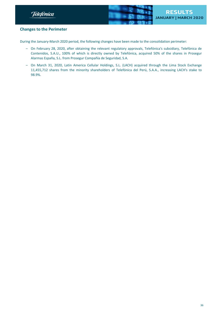<span id="page-35-0"></span>



# **Changes to the Perimeter**

During the January-March 2020 period, the following changes have been made to the consolidation perimeter:

- On February 28, 2020, after obtaining the relevant regulatory approvals, Telefónica's subsidiary, Telefónica de Contenidos, S.A.U., 100% of which is directly owned by Telefónica, acquired 50% of the shares in Prosegur Alarmas España, S.L. from Prosegur Compañía de Seguridad, S.A.
- On March 31, 2020, Latin America Cellular Holdings, S.L. (LACH) acquired through the Lima Stock Exchange 11,455,712 shares from the minority shareholders of Telefónica del Perú, S.A.A., increasing LACH's stake to 98.9%.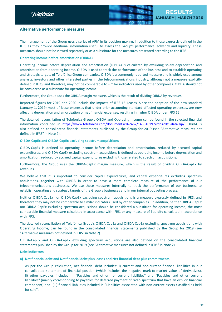<span id="page-36-0"></span>



# **Alternative performance measures**

The management of the Group uses a series of APM in its decision-making, in addition to those expressly defined in the IFRS as they provide additional information useful to assess the Group's performance, solvency and liquidity. These measures should not be viewed separately or as a substitute for the measures presented according to the IFRS.

# **Operating income before amortisation (OIBDA)**

Operating income before depreciation and amortisation (OIBDA) is calculated by excluding solely depreciation and amortisation from operating income. OIBDA is used to track the performance of the business and to establish operating and strategic targets of Telefónica Group companies. OIBDA is a commonly reported measure and is widely used among analysts, investors and other interested parties in the telecommunications industry, although not a measure explicitly defined in IFRS, and therefore, may not be comparable to similar indicators used by other companies. OIBDA should not be considered as a substitute for operating income.

Furthermore, the Group uses the OIBDA margin measure, which is the result of dividing OIBDA by revenues.

Reported figures for 2019 and 2020 include the impacts of IFRS 16 Leases. Since the adoption of the new standard (January 1, 2019) most of lease expenses that under prior accounting standard affected operating expenses, are now affecting depreciation and amortisation or net financial expenses, resulting in higher OIBDA under IFRS 16.

The detailed reconciliation of Telefónica Group's OIBDA and Operating Income can be found in the selected financial information contained in [https://www.telefonica.com/documents/162467/145816197/rdos20t1-data.zip/.](https://www.telefonica.com/documents/162467/145816197/rdos20t1-data.zip/c06ad134-756b-2727-4dc5-853f2f54a866) OIBDA is also defined on consolidated financial statements published by the Group for 2019 (see "Alternative measures not defined in IFRS" in Note 2).

## **OIBDA-CapEx and OIBDA-CapEx excluding spectrum acquisitions**

OIBDA-CapEx is defined as operating income before depreciation and amortization, reduced by accrued capital expenditures, and OIBDA-CapEx excluding spectrum acquisitions is defined as operating income before depreciation and amortization, reduced by accrued capital expenditures excluding those related to spectrum acquisitions.

Furthermore, the Group uses the OIBDA-CapEx margin measure, which is the result of dividing OIBDA-CapEx by revenues.

We believe that it is important to consider capital expenditures, and capital expenditures excluding spectrum acquisitions, together with OIBDA in order to have a more complete measure of the performance of our telecommunications businesses. We use these measures internally to track the performance of our business, to establish operating and strategic targets of the Group's businesses and in our internal budgeting process.

Neither OIBDA-CapEx nor OIBDA-CapEx excluding spectrum acquisitions is a measure expressly defined in IFRS, and therefore they may not be comparable to similar indicators used by other companies. In addition, neither OIBDA-CapEx nor OIBDA-CapEx excluding spectrum acquisitions should be considered a substitute for operating income, the most comparable financial measure calculated in accordance with IFRS, or any measure of liquidity calculated in accordance with IFRS.

The detailed reconciliation of Telefónica Group's OIBDA-CapEx and OIBDA-CapEx excluding spectrum acquisitions with Operating Income, can be found in the consolidated financial statements published by the Group for 2019 (see "Alternative measures not defined in IFRS" in Note 2).

OIBDA-CapEx and OIBDA-CapEx excluding spectrum acquisitions are also defined on the consolidated financial statements published by the Group for 2019 (see "Alternative measures not defined in IFRS" in Note 2).

## **Debt indicators**

## **a) Net financial debt and Net financial debt plus leases and Net financial debt plus commitments**

As per the Group calculation, net financial debt includes: i) current and non-current financial liabilities in our consolidated statement of financial position (which includes the negative mark-to-market value of derivatives), ii) other payables included in "Payables and other non-current liabilities" and "Payables and other current liabilities" (mainly corresponding to payables for deferred payment of radio spectrum that have an explicit financial component) and (iii) financial liabilities included in "Liabilities associated with non-current assets classified as held for sale".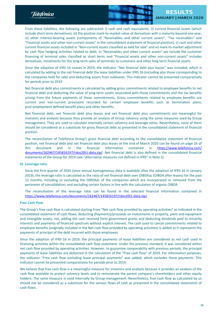Telefònica



From these liabilities, the following are subtracted: i) cash and cash equivalents, ii) current financial assets (which include short-term derivatives), iii) the positive mark-to-market value of derivatives with a maturity beyond one year, iv) other interest-bearing assets (components of "Receivables and other current assets", "Tax receivables" and "Financial assets and other non-current assets" in the consolidated statement of financial position), v) cash and other current financial assets included in "Non-current assets classified as held for sale" and vi) mark-to-market adjustment by cash flow hedging activities related to debt. In "Receivables and other current assets" we include the customer financing of terminal sales classified as short term, and "Financial assets and other non-current assets" includes derivatives, instalments for the long-term sales of terminals to customers and other long term financial assets.

Since the adoption of IFRS 16 Leases in 2019, the indicator "Net financial debt plus leases" was included, which is calculated by adding to the net financial debt the lease liabilities under IFRS 16 (including also those corresponding to the companies held for sale) and deducting assets from subleases. This indicator cannot be presented comparatively for periods prior to 2019.

Net financial debt plus commitments is calculated by adding gross commitments related to employee benefits to net financial debt and deducting the value of long-term assets associated with those commitments and the tax benefits arising from the future payments of those commitments. Gross commitments related to employee benefits are current and non-current provisions recorded for certain employee benefits such as termination plans, post-employment defined benefit plans and other benefits.

Net financial debt, net financial debt plus leases and net financial debt plus commitments are meaningful for investors and analysts because they provide an analysis of Group solvency using the same measures used by Group management. They are used to calculate internally certain solvency and leverage ratios. Nevertheless, none of them should be considered as a substitute for gross financial debt as presented in the consolidated statement of financial position.

The reconciliation of Telefónica Group's gross financial debt according to the consolidated statement of financial position, net financial debt and net financial debt plus leases at the end of March 2020 can be found on page 16 of this document and in the financial information contained in [https://www.telefonica.com/](https://www.telefonica.com/documents/162467/145816197/rdos20t1-data.zip/c06ad134-756b-2727-4dc5-853f2f54a866) [documents/162467/145816197/rdos20t1-data.zip/.](https://www.telefonica.com/documents/162467/145816197/rdos20t1-data.zip/c06ad134-756b-2727-4dc5-853f2f54a866) Net financial debt is also defined in the consolidated financial statements of the Group for 2019 (see "Alternative measures not defined in IFRS" in Note 2).

#### **b) Leverage ratio**

Since the first quarter of 2020 (once annual homogeneous data is available after the adoption of IFRS 16 in January 2019), the leverage ratio is calculated as the ratio of net financial debt over OIBDAaL (OIBDA after leases) for the past 12 months, including or excluding the OIBDAaL of the companies which are incorporated or removed from the perimeter of consolidation, and excluding certain factors in line with the calculation of organic OIBDA.

The reconciliation of the leverage ratio can be found in the selected financial information contained in [https://www.telefonica.com/documents/162467/145816197/rdos20t1-data.zip/.](https://www.telefonica.com/documents/162467/145816197/rdos20t1-data.zip/c06ad134-756b-2727-4dc5-853f2f54a866)

## **Free Cash Flow**

The Group's free cash flow is calculated starting from "Net cash flow provided by operating activities" as indicated in the consolidated statement of cash flows; deducting (Payments)/proceeds on investments in property, plant and equipment and intangible assets, net, adding the cash received form government grants and deducting dividends paid to minority interests and payments of financed spectrum without explicit interest. The cash used to cancel commitments related to employee benefits (originally included in the Net cash flow provided by operating activities) is added as it represents the payments of principal of the debt incurred with those employees.

Since the adoption of IFRS 16 in 2019, the principal payments of lease liabilities are considered as net cash used in financing activities within the consolidated cash flow statement. Under the previous standard, it was considered within net cash flow provided by operating activities. However, to guarantee comparability with previous periods, the principal payments of lease liabilities are deducted in the calculation of the "Free cash flow" of 2019. For information purposes, the indicator "Free cash flow excluding lease principal payments" was added, which excludes these payments. This indicator cannot be presented comparatively for periods prior to 2019.

We believe that free cash flow is a meaningful measure for investors and analysts because it provides an analysis of the cash flow available to protect solvency levels and to remunerate the parent company's shareholders and other equity holders. The same measure is used internally by Group management. Nevertheless, free cash flow as calculated by us should not be considered as a substitute for the various flows of cash as presented in the consolidated statements of cash flows.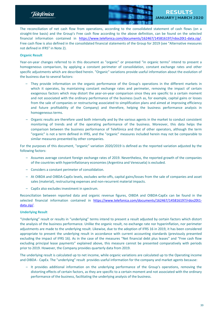Telefònica



The reconciliation of net cash flow from operations, according to the consolidated statement of cash flows (on a straight-line basis) and the Group's Free cash flow according to the above definition, can be found on the selected financial information contained in [https://www.telefonica.com/documents/162467/145816197/rdos20t1-data.zip/](https://www.telefonica.com/documents/162467/145816197/rdos20t1-data.zip/c06ad134-756b-2727-4dc5-853f2f54a866). Free cash flow is also defined in the consolidated financial statements of the Group for 2019 (see "Alternative measures not defined in IFRS" in Note 2).

## **Organic Result**

Year-on-year changes referred to in this document as "organic" or presented "in organic terms" intend to present a homogeneous comparison, by applying a constant perimeter of consolidation, constant exchange rates and other specific adjustments which are described herein. "Organic" variations provide useful information about the evolution of the business due to several factors:

- They provide information on the organic performance of the Group's operations in the different markets in which it operates, by maintaining constant exchange rates and perimeter, removing the impact of certain exogenous factors which may distort the year-on-year comparison since they are specific to a certain moment and not associated with the ordinary performance of the business (such as, for example, capital gains or losses from the sale of companies or restructuring associated to simplification plans and aimed at improving efficiency and future profitability of the Company) and therefore, helping the business performance analysis in homogeneous terms.
- Organic results are therefore used both internally and by the various agents in the market to conduct consistent monitoring of trends and of the operating performance of the business. Moreover, this data helps the comparison between the business performance of Telefónica and that of other operators, although the term "organic" is not a term defined in IFRS, and the "organic" measures included herein may not be comparable to similar measures presented by other companies.

For the purposes of this document, "organic" variation 2020/2019 is defined as the reported variation adjusted by the following factors:

- Assumes average constant foreign exchange rates of 2019. Nevertheless, the reported growth of the companies of the countries with hyperinflationary economies (Argentina and Venezuela) is excluded.
- Considers a constant perimeter of consolidation.
- At OIBDA and OIBDA-CapEx levels, excludes write-offs, capital gains/losses from the sale of companies and asset sales (material), restructuring expenses and non-recurrent material impacts.
- CapEx also excludes investment in spectrum.

Reconciliation between reported data and organic revenue figures, OIBDA and OIBDA-CapEx can be found in the selected financial information contained in [https://www.telefonica.com/documents/162467/145816197/rdos20t1](https://www.telefonica.com/documents/162467/145816197/rdos20t1-data.zip/c06ad134-756b-2727-4dc5-853f2f54a866) [data.zip/](https://www.telefonica.com/documents/162467/145816197/rdos20t1-data.zip/c06ad134-756b-2727-4dc5-853f2f54a866).

## **Underlying Result**

"Underlying" result or results in "underlying" terms intend to present a result adjusted by certain factors which distort the analysis of the business performance. Unlike the organic result, no exchange rate nor hyperinflation, nor perimeter adjustments are made to the underlying result. Likewise, due to the adoption of IFRS 16 in 2019, it has been considered appropriate to present the underlying result in accordance with current accounting standards (previously presented excluding the impact of IFRS 16). As in the case of the measures "Net financial debt plus leases" and "Free cash flow excluding principal lease payments" explained above, this measure cannot be presented comparatively with periods prior to 2019. However, the Company provides quarterly data from 2019.

The underlying result is calculated up to net income, while organic variations are calculated up to the Operating income and OIBDA - CapEx. The "underlying" result provides useful information for the company and market agents because:

– It provides additional information on the underlying performance of the Group's operations, removing the distorting effects of certain factors, as they are specific to a certain moment and not associated with the ordinary performance of the business, facilitating the underlying analysis of the business.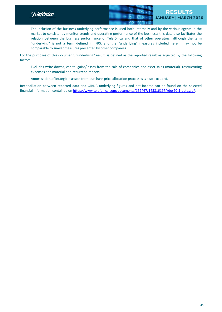Telefònica



– The inclusion of the business underlying performance is used both internally and by the various agents in the market to consistently monitor trends and operating performance of the business; this data also facilitates the relation between the business performance of Telefónica and that of other operators, although the term "underlying" is not a term defined in IFRS, and the "underlying" measures included herein may not be comparable to similar measures presented by other companies.

For the purposes of this document, "underlying" result is defined as the reported result as adjusted by the following factors:

- Excludes write-downs, capital gains/losses from the sale of companies and asset sales (material), restructuring expenses and material non-recurrent impacts.
- Amortisation of intangible assets from purchase price allocation processes is also excluded.

Reconciliation between reported data and OIBDA underlying figures and net income can be found on the selected financial information contained on [https://www.telefonica.com/documents/162467/145816197/rdos20t1-data.zip/.](https://www.telefonica.com/documents/162467/145816197/rdos20t1-data.zip/c06ad134-756b-2727-4dc5-853f2f54a866)